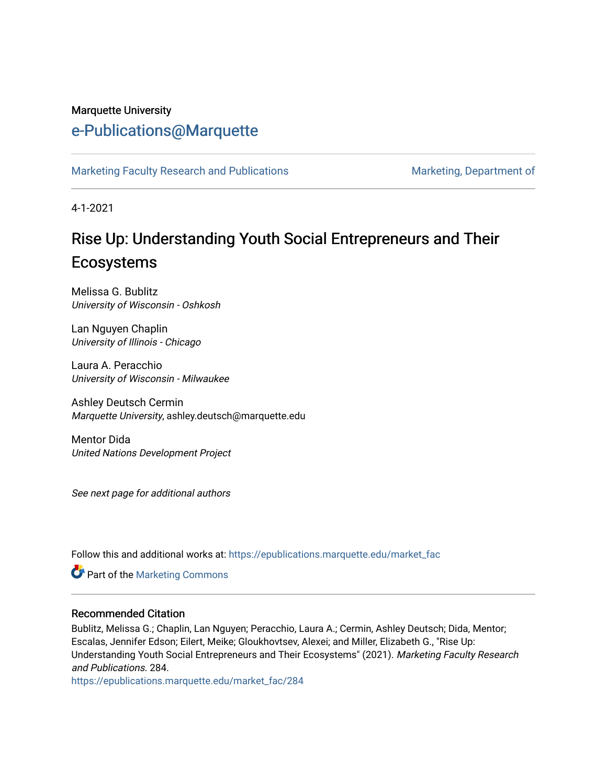# Marquette University

# [e-Publications@Marquette](https://epublications.marquette.edu/)

[Marketing Faculty Research and Publications](https://epublications.marquette.edu/market_fac) Marketing, Department of

4-1-2021

# Rise Up: Understanding Youth Social Entrepreneurs and Their Ecosystems

Melissa G. Bublitz University of Wisconsin - Oshkosh

Lan Nguyen Chaplin University of Illinois - Chicago

Laura A. Peracchio University of Wisconsin - Milwaukee

Ashley Deutsch Cermin Marquette University, ashley.deutsch@marquette.edu

Mentor Dida United Nations Development Project

See next page for additional authors

Follow this and additional works at: [https://epublications.marquette.edu/market\\_fac](https://epublications.marquette.edu/market_fac?utm_source=epublications.marquette.edu%2Fmarket_fac%2F284&utm_medium=PDF&utm_campaign=PDFCoverPages)

**Part of the [Marketing Commons](http://network.bepress.com/hgg/discipline/638?utm_source=epublications.marquette.edu%2Fmarket_fac%2F284&utm_medium=PDF&utm_campaign=PDFCoverPages)** 

## Recommended Citation

Bublitz, Melissa G.; Chaplin, Lan Nguyen; Peracchio, Laura A.; Cermin, Ashley Deutsch; Dida, Mentor; Escalas, Jennifer Edson; Eilert, Meike; Gloukhovtsev, Alexei; and Miller, Elizabeth G., "Rise Up: Understanding Youth Social Entrepreneurs and Their Ecosystems" (2021). Marketing Faculty Research and Publications. 284.

[https://epublications.marquette.edu/market\\_fac/284](https://epublications.marquette.edu/market_fac/284?utm_source=epublications.marquette.edu%2Fmarket_fac%2F284&utm_medium=PDF&utm_campaign=PDFCoverPages)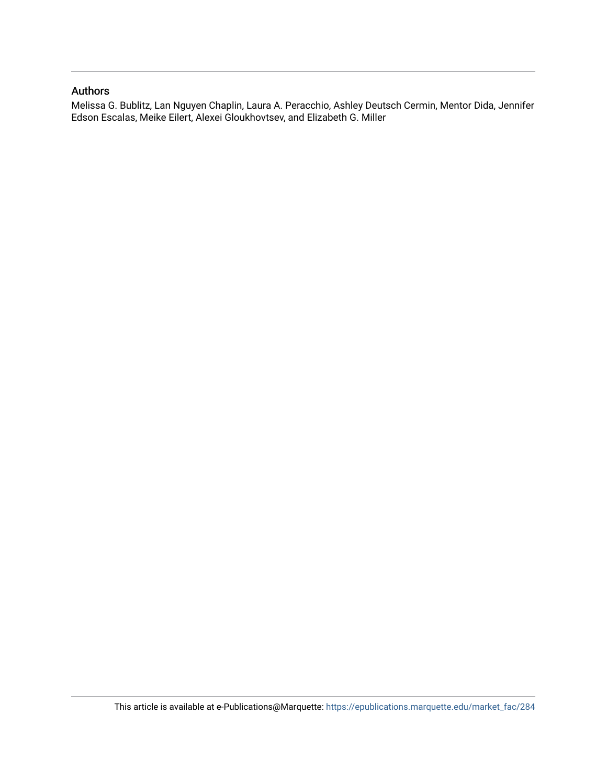## Authors

Melissa G. Bublitz, Lan Nguyen Chaplin, Laura A. Peracchio, Ashley Deutsch Cermin, Mentor Dida, Jennifer Edson Escalas, Meike Eilert, Alexei Gloukhovtsev, and Elizabeth G. Miller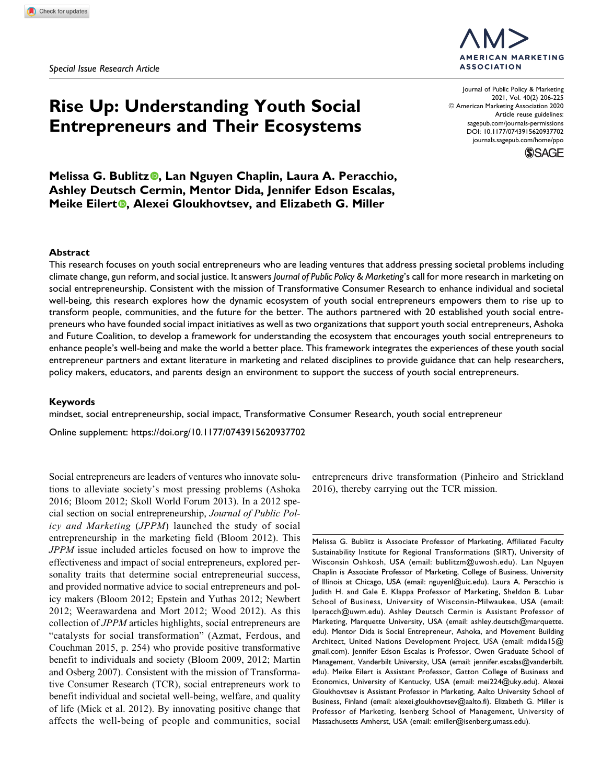

# **Rise Up: Understanding Youth Social Entrepreneurs and Their Ecosystems**

Journal of Public Policy & Marketing 2021, Vol. 40(2) 206-225 © American Marketing Association 2020 Article reuse guidelines: [sagepub.com/journals-permissions](https://sagepub.com/journals-permissions) [DOI: 10.1177/0743915620937702](https://doi.org/10.1177/0743915620937702) [journals.sagepub.com/home/ppo](http://journals.sagepub.com/home/ppo)



**Melissa G. Bublitz , Lan Nguyen Chaplin, Laura A. Peracchio, Ashley Deutsch Cermin, Mentor Dida, Jennifer Edson Escalas, Meike Eilert<sup>®</sup>, Alexei Gloukhovtsev, and Elizabeth G. Miller** 

#### **Abstract**

This research focuses on youth social entrepreneurs who are leading ventures that address pressing societal problems including climate change, gun reform, and social justice. It answers *Journal of Public Policy & Marketing*'s call for more research in marketing on social entrepreneurship. Consistent with the mission of Transformative Consumer Research to enhance individual and societal well-being, this research explores how the dynamic ecosystem of youth social entrepreneurs empowers them to rise up to transform people, communities, and the future for the better. The authors partnered with 20 established youth social entrepreneurs who have founded social impact initiatives as well as two organizations that support youth social entrepreneurs, Ashoka and Future Coalition, to develop a framework for understanding the ecosystem that encourages youth social entrepreneurs to enhance people's well-being and make the world a better place. This framework integrates the experiences of these youth social entrepreneur partners and extant literature in marketing and related disciplines to provide guidance that can help researchers, policy makers, educators, and parents design an environment to support the success of youth social entrepreneurs.

#### **Keywords**

mindset, social entrepreneurship, social impact, Transformative Consumer Research, youth social entrepreneur

Online supplement:<https://doi.org/10.1177/0743915620937702>

Social entrepreneurs are leaders of ventures who innovate solutions to alleviate society's most pressing problems (Ashoka 2016; Bloom 2012; Skoll World Forum 2013). In a 2012 special section on social entrepreneurship, Journal of Public Policy and Marketing (JPPM) launched the study of social entrepreneurship in the marketing field (Bloom 2012). This JPPM issue included articles focused on how to improve the effectiveness and impact of social entrepreneurs, explored personality traits that determine social entrepreneurial success, and provided normative advice to social entrepreneurs and policy makers (Bloom 2012; Epstein and Yuthas 2012; Newbert 2012; Weerawardena and Mort 2012; Wood 2012). As this collection of JPPM articles highlights, social entrepreneurs are "catalysts for social transformation" (Azmat, Ferdous, and Couchman 2015, p. 254) who provide positive transformative benefit to individuals and society (Bloom 2009, 2012; Martin and Osberg 2007). Consistent with the mission of Transformative Consumer Research (TCR), social entrepreneurs work to benefit individual and societal well-being, welfare, and quality of life (Mick et al. 2012). By innovating positive change that affects the well-being of people and communities, social

entrepreneurs drive transformation (Pinheiro and Strickland 2016), thereby carrying out the TCR mission.

Melissa G. Bublitz is Associate Professor of Marketing, Affiliated Faculty Sustainability Institute for Regional Transformations (SIRT), University of Wisconsin Oshkosh, USA (email: [bublitzm@uwosh.edu\)](mailto:bublitzm@uwosh.edu). Lan Nguyen Chaplin is Associate Professor of Marketing, College of Business, University of Illinois at Chicago, USA (email: [nguyenl@uic.edu](mailto:nguyenl@uic.edu)). Laura A. Peracchio is Judith H. and Gale E. Klappa Professor of Marketing, Sheldon B. Lubar School of Business, University of Wisconsin-Milwaukee, USA (email: [lperacch@uwm.edu](mailto:lperacch@uwm.edu)). Ashley Deutsch Cermin is Assistant Professor of Marketing, Marquette University, USA (email: [ashley.deutsch@marquette.](mailto:ashley.deutsch@marquette.edu) [edu\)](mailto:ashley.deutsch@marquette.edu). Mentor Dida is Social Entrepreneur, Ashoka, and Movement Building Architect, United Nations Development Project, USA (email: [mdida15@](mailto:mdida15@gmail.com) [gmail.com\)](mailto:mdida15@gmail.com). Jennifer Edson Escalas is Professor, Owen Graduate School of Management, Vanderbilt University, USA (email: [jennifer.escalas@vanderbilt.](mailto:jennifer.escalas@vanderbilt.edu) [edu](mailto:jennifer.escalas@vanderbilt.edu)). Meike Eilert is Assistant Professor, Gatton College of Business and Economics, University of Kentucky, USA (email: [mei224@uky.edu\)](mailto:mei224@uky.edu). Alexei Gloukhovtsev is Assistant Professor in Marketing, Aalto University School of Business, Finland (email: [alexei.gloukhovtsev@aalto.fi](mailto:alexei.gloukhovtsev@aalto.fi)). Elizabeth G. Miller is Professor of Marketing, Isenberg School of Management, University of Massachusetts Amherst, USA (email: [emiller@isenberg.umass.edu](mailto:emiller@isenberg.umass.edu)).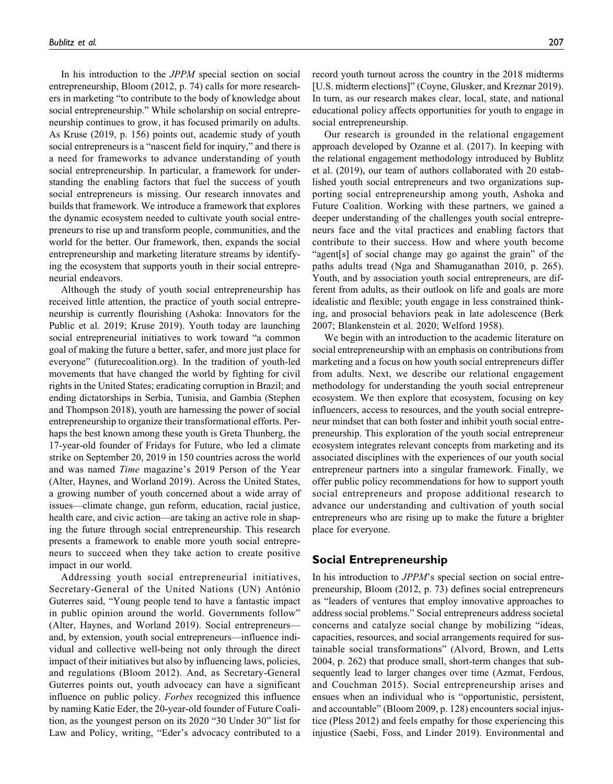In his introduction to the *JPPM* special section on social entrepreneurship, Bloom (2012, p. 74) calls for more researchers in marketing "to contribute to the body of knowledge about social entrepreneurship." While scholarship on social entrepreneurship continues to grow, it has focused primarily on adults. As Kruse (2019, p. 156) points out, academic study of youth social entrepreneurs is a "nascent field for inquiry," and there is a need for frameworks to advance understanding of youth social entrepreneurship. In particular, a framework for understanding the enabling factors that fuel the success of youth social entrepreneurs is missing. Our research innovates and builds that framework. We introduce a framework that explores the dynamic ecosystem needed to cultivate youth social entrepreneurs to rise up and transform people, communities, and the world for the better. Our framework, then, expands the social entrepreneurship and marketing literature streams by identifying the ecosystem that supports youth in their social entrepreneurial endeavors.

Although the study of youth social entrepreneurship has received little attention, the practice of youth social entrepreneurship is currently flourishing (Ashoka: Innovators for the Public et al. 2019; Kruse 2019). Youth today are launching social entrepreneurial initiatives to work toward "a common goal of making the future a better, safer, and more just place for everyone" (futurecoalition.org). In the tradition of youth-led movements that have changed the world by fighting for civil rights in the United States; eradicating corruption in Brazil; and ending dictatorships in Serbia, Tunisia, and Gambia (Stephen and Thompson 2018), youth are harnessing the power of social entrepreneurship to organize their transformational efforts. Perhaps the best known among these youth is Greta Thunberg, the 17-year-old founder of Fridays for Future, who led a climate strike on September 20, 2019 in 150 countries across the world and was named Time magazine's 2019 Person of the Year (Alter, Haynes, and Worland 2019). Across the United States, a growing number of youth concerned about a wide array of issues—climate change, gun reform, education, racial justice, health care, and civic action—are taking an active role in shaping the future through social entrepreneurship. This research presents a framework to enable more youth social entrepreneurs to succeed when they take action to create positive impact in our world.

Addressing youth social entrepreneurial initiatives, Secretary-General of the United Nations (UN) António Guterres said, "Young people tend to have a fantastic impact in public opinion around the world. Governments follow" (Alter, Haynes, and Worland 2019). Social entrepreneurs and, by extension, youth social entrepreneurs—influence individual and collective well-being not only through the direct impact of their initiatives but also by influencing laws, policies, and regulations (Bloom 2012). And, as Secretary-General Guterres points out, youth advocacy can have a significant influence on public policy. Forbes recognized this influence by naming Katie Eder, the 20-year-old founder of Future Coalition, as the youngest person on its 2020 "30 Under 30" list for Law and Policy, writing, "Eder's advocacy contributed to a record youth turnout across the country in the 2018 midterms [U.S. midterm elections]" (Coyne, Glusker, and Kreznar 2019). In turn, as our research makes clear, local, state, and national educational policy affects opportunities for youth to engage in social entrepreneurship.

Our research is grounded in the relational engagement approach developed by Ozanne et al. (2017). In keeping with the relational engagement methodology introduced by Bublitz et al. (2019), our team of authors collaborated with 20 established youth social entrepreneurs and two organizations supporting social entrepreneurship among youth, Ashoka and Future Coalition. Working with these partners, we gained a deeper understanding of the challenges youth social entrepreneurs face and the vital practices and enabling factors that contribute to their success. How and where youth become "agent[s] of social change may go against the grain" of the paths adults tread (Nga and Shamuganathan 2010, p. 265). Youth, and by association youth social entrepreneurs, are different from adults, as their outlook on life and goals are more idealistic and flexible; youth engage in less constrained thinking, and prosocial behaviors peak in late adolescence (Berk 2007; Blankenstein et al. 2020; Welford 1958).

We begin with an introduction to the academic literature on social entrepreneurship with an emphasis on contributions from marketing and a focus on how youth social entrepreneurs differ from adults. Next, we describe our relational engagement methodology for understanding the youth social entrepreneur ecosystem. We then explore that ecosystem, focusing on key influencers, access to resources, and the youth social entrepreneur mindset that can both foster and inhibit youth social entrepreneurship. This exploration of the youth social entrepreneur ecosystem integrates relevant concepts from marketing and its associated disciplines with the experiences of our youth social entrepreneur partners into a singular framework. Finally, we offer public policy recommendations for how to support youth social entrepreneurs and propose additional research to advance our understanding and cultivation of youth social entrepreneurs who are rising up to make the future a brighter place for everyone.

## **Social Entrepreneurship**

In his introduction to *JPPM*'s special section on social entrepreneurship, Bloom (2012, p. 73) defines social entrepreneurs as "leaders of ventures that employ innovative approaches to address social problems." Social entrepreneurs address societal concerns and catalyze social change by mobilizing "ideas, capacities, resources, and social arrangements required for sustainable social transformations" (Alvord, Brown, and Letts 2004, p. 262) that produce small, short-term changes that subsequently lead to larger changes over time (Azmat, Ferdous, and Couchman 2015). Social entrepreneurship arises and ensues when an individual who is "opportunistic, persistent, and accountable" (Bloom 2009, p. 128) encounters social injustice (Pless 2012) and feels empathy for those experiencing this injustice (Saebi, Foss, and Linder 2019). Environmental and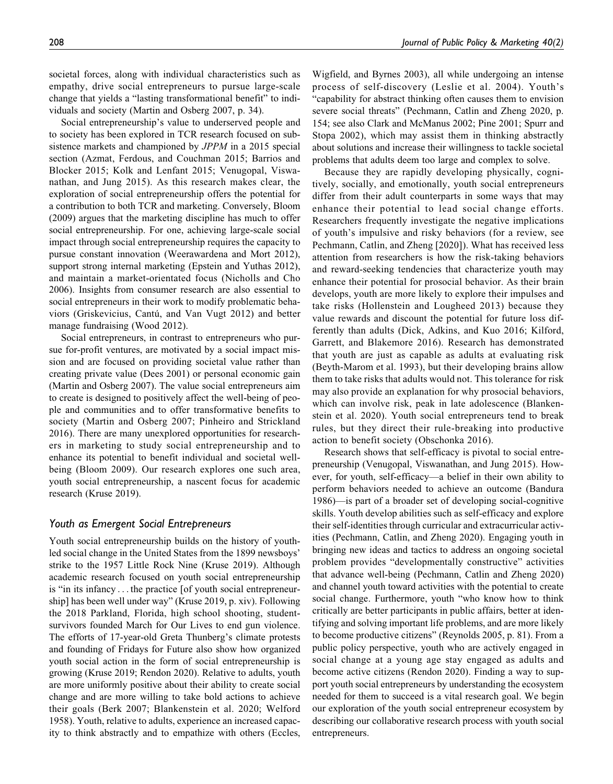societal forces, along with individual characteristics such as empathy, drive social entrepreneurs to pursue large-scale change that yields a "lasting transformational benefit" to individuals and society (Martin and Osberg 2007, p. 34).

Social entrepreneurship's value to underserved people and to society has been explored in TCR research focused on subsistence markets and championed by JPPM in a 2015 special section (Azmat, Ferdous, and Couchman 2015; Barrios and Blocker 2015; Kolk and Lenfant 2015; Venugopal, Viswanathan, and Jung 2015). As this research makes clear, the exploration of social entrepreneurship offers the potential for a contribution to both TCR and marketing. Conversely, Bloom (2009) argues that the marketing discipline has much to offer social entrepreneurship. For one, achieving large-scale social impact through social entrepreneurship requires the capacity to pursue constant innovation (Weerawardena and Mort 2012), support strong internal marketing (Epstein and Yuthas 2012), and maintain a market-orientated focus (Nicholls and Cho 2006). Insights from consumer research are also essential to social entrepreneurs in their work to modify problematic behaviors (Griskevicius, Cantú, and Van Vugt 2012) and better manage fundraising (Wood 2012).

Social entrepreneurs, in contrast to entrepreneurs who pursue for-profit ventures, are motivated by a social impact mission and are focused on providing societal value rather than creating private value (Dees 2001) or personal economic gain (Martin and Osberg 2007). The value social entrepreneurs aim to create is designed to positively affect the well-being of people and communities and to offer transformative benefits to society (Martin and Osberg 2007; Pinheiro and Strickland 2016). There are many unexplored opportunities for researchers in marketing to study social entrepreneurship and to enhance its potential to benefit individual and societal wellbeing (Bloom 2009). Our research explores one such area, youth social entrepreneurship, a nascent focus for academic research (Kruse 2019).

#### *Youth as Emergent Social Entrepreneurs*

Youth social entrepreneurship builds on the history of youthled social change in the United States from the 1899 newsboys' strike to the 1957 Little Rock Nine (Kruse 2019). Although academic research focused on youth social entrepreneurship is "in its infancy ... the practice [of youth social entrepreneurship] has been well under way" (Kruse 2019, p. xiv). Following the 2018 Parkland, Florida, high school shooting, studentsurvivors founded March for Our Lives to end gun violence. The efforts of 17-year-old Greta Thunberg's climate protests and founding of Fridays for Future also show how organized youth social action in the form of social entrepreneurship is growing (Kruse 2019; Rendon 2020). Relative to adults, youth are more uniformly positive about their ability to create social change and are more willing to take bold actions to achieve their goals (Berk 2007; Blankenstein et al. 2020; Welford 1958). Youth, relative to adults, experience an increased capacity to think abstractly and to empathize with others (Eccles,

Wigfield, and Byrnes 2003), all while undergoing an intense process of self-discovery (Leslie et al. 2004). Youth's "capability for abstract thinking often causes them to envision severe social threats" (Pechmann, Catlin and Zheng 2020, p. 154; see also Clark and McManus 2002; Pine 2001; Spurr and Stopa 2002), which may assist them in thinking abstractly about solutions and increase their willingness to tackle societal problems that adults deem too large and complex to solve.

Because they are rapidly developing physically, cognitively, socially, and emotionally, youth social entrepreneurs differ from their adult counterparts in some ways that may enhance their potential to lead social change efforts. Researchers frequently investigate the negative implications of youth's impulsive and risky behaviors (for a review, see Pechmann, Catlin, and Zheng [2020]). What has received less attention from researchers is how the risk-taking behaviors and reward-seeking tendencies that characterize youth may enhance their potential for prosocial behavior. As their brain develops, youth are more likely to explore their impulses and take risks (Hollenstein and Lougheed 2013) because they value rewards and discount the potential for future loss differently than adults (Dick, Adkins, and Kuo 2016; Kilford, Garrett, and Blakemore 2016). Research has demonstrated that youth are just as capable as adults at evaluating risk (Beyth-Marom et al. 1993), but their developing brains allow them to take risks that adults would not. This tolerance for risk may also provide an explanation for why prosocial behaviors, which can involve risk, peak in late adolescence (Blankenstein et al. 2020). Youth social entrepreneurs tend to break rules, but they direct their rule-breaking into productive action to benefit society (Obschonka 2016).

Research shows that self-efficacy is pivotal to social entrepreneurship (Venugopal, Viswanathan, and Jung 2015). However, for youth, self-efficacy—a belief in their own ability to perform behaviors needed to achieve an outcome (Bandura 1986)—is part of a broader set of developing social-cognitive skills. Youth develop abilities such as self-efficacy and explore their self-identities through curricular and extracurricular activities (Pechmann, Catlin, and Zheng 2020). Engaging youth in bringing new ideas and tactics to address an ongoing societal problem provides "developmentally constructive" activities that advance well-being (Pechmann, Catlin and Zheng 2020) and channel youth toward activities with the potential to create social change. Furthermore, youth "who know how to think critically are better participants in public affairs, better at identifying and solving important life problems, and are more likely to become productive citizens" (Reynolds 2005, p. 81). From a public policy perspective, youth who are actively engaged in social change at a young age stay engaged as adults and become active citizens (Rendon 2020). Finding a way to support youth social entrepreneurs by understanding the ecosystem needed for them to succeed is a vital research goal. We begin our exploration of the youth social entrepreneur ecosystem by describing our collaborative research process with youth social entrepreneurs.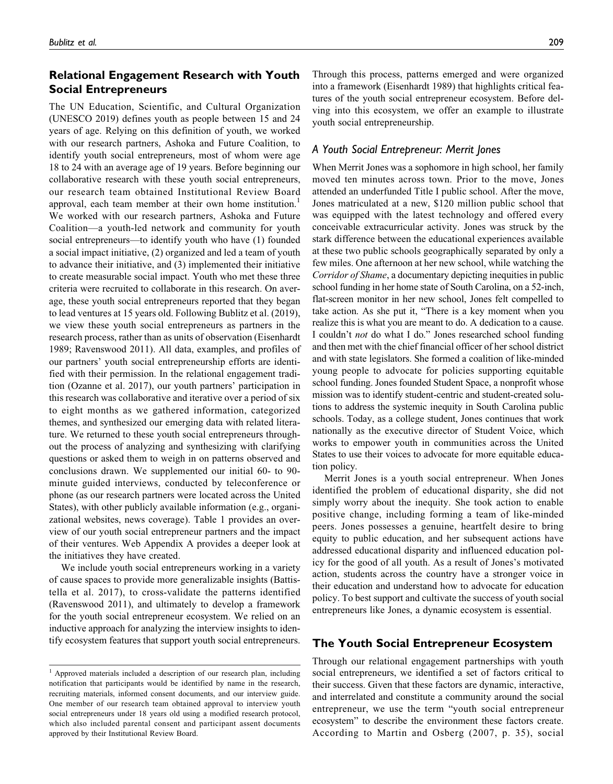## **Relational Engagement Research with Youth Social Entrepreneurs**

The UN Education, Scientific, and Cultural Organization (UNESCO 2019) defines youth as people between 15 and 24 years of age. Relying on this definition of youth, we worked with our research partners, Ashoka and Future Coalition, to identify youth social entrepreneurs, most of whom were age 18 to 24 with an average age of 19 years. Before beginning our collaborative research with these youth social entrepreneurs, our research team obtained Institutional Review Board approval, each team member at their own home institution.<sup>1</sup> We worked with our research partners, Ashoka and Future Coalition—a youth-led network and community for youth social entrepreneurs—to identify youth who have (1) founded a social impact initiative, (2) organized and led a team of youth to advance their initiative, and (3) implemented their initiative to create measurable social impact. Youth who met these three criteria were recruited to collaborate in this research. On average, these youth social entrepreneurs reported that they began to lead ventures at 15 years old. Following Bublitz et al. (2019), we view these youth social entrepreneurs as partners in the research process, rather than as units of observation (Eisenhardt 1989; Ravenswood 2011). All data, examples, and profiles of our partners' youth social entrepreneurship efforts are identified with their permission. In the relational engagement tradition (Ozanne et al. 2017), our youth partners' participation in this research was collaborative and iterative over a period of six to eight months as we gathered information, categorized themes, and synthesized our emerging data with related literature. We returned to these youth social entrepreneurs throughout the process of analyzing and synthesizing with clarifying questions or asked them to weigh in on patterns observed and conclusions drawn. We supplemented our initial 60- to 90 minute guided interviews, conducted by teleconference or phone (as our research partners were located across the United States), with other publicly available information (e.g., organizational websites, news coverage). Table 1 provides an overview of our youth social entrepreneur partners and the impact of their ventures. Web Appendix A provides a deeper look at the initiatives they have created.

We include youth social entrepreneurs working in a variety of cause spaces to provide more generalizable insights (Battistella et al. 2017), to cross-validate the patterns identified (Ravenswood 2011), and ultimately to develop a framework for the youth social entrepreneur ecosystem. We relied on an inductive approach for analyzing the interview insights to identify ecosystem features that support youth social entrepreneurs. Through this process, patterns emerged and were organized into a framework (Eisenhardt 1989) that highlights critical features of the youth social entrepreneur ecosystem. Before delving into this ecosystem, we offer an example to illustrate youth social entrepreneurship.

### *A Youth Social Entrepreneur: Merrit Jones*

When Merrit Jones was a sophomore in high school, her family moved ten minutes across town. Prior to the move, Jones attended an underfunded Title I public school. After the move, Jones matriculated at a new, \$120 million public school that was equipped with the latest technology and offered every conceivable extracurricular activity. Jones was struck by the stark difference between the educational experiences available at these two public schools geographically separated by only a few miles. One afternoon at her new school, while watching the Corridor of Shame, a documentary depicting inequities in public school funding in her home state of South Carolina, on a 52-inch, flat-screen monitor in her new school, Jones felt compelled to take action. As she put it, "There is a key moment when you realize this is what you are meant to do. A dedication to a cause. I couldn't not do what I do." Jones researched school funding and then met with the chief financial officer of her school district and with state legislators. She formed a coalition of like-minded young people to advocate for policies supporting equitable school funding. Jones founded Student Space, a nonprofit whose mission was to identify student-centric and student-created solutions to address the systemic inequity in South Carolina public schools. Today, as a college student, Jones continues that work nationally as the executive director of Student Voice, which works to empower youth in communities across the United States to use their voices to advocate for more equitable education policy.

Merrit Jones is a youth social entrepreneur. When Jones identified the problem of educational disparity, she did not simply worry about the inequity. She took action to enable positive change, including forming a team of like-minded peers. Jones possesses a genuine, heartfelt desire to bring equity to public education, and her subsequent actions have addressed educational disparity and influenced education policy for the good of all youth. As a result of Jones's motivated action, students across the country have a stronger voice in their education and understand how to advocate for education policy. To best support and cultivate the success of youth social entrepreneurs like Jones, a dynamic ecosystem is essential.

## **The Youth Social Entrepreneur Ecosystem**

Through our relational engagement partnerships with youth social entrepreneurs, we identified a set of factors critical to their success. Given that these factors are dynamic, interactive, and interrelated and constitute a community around the social entrepreneur, we use the term "youth social entrepreneur ecosystem" to describe the environment these factors create. According to Martin and Osberg (2007, p. 35), social

<sup>&</sup>lt;sup>1</sup> Approved materials included a description of our research plan, including notification that participants would be identified by name in the research, recruiting materials, informed consent documents, and our interview guide. One member of our research team obtained approval to interview youth social entrepreneurs under 18 years old using a modified research protocol, which also included parental consent and participant assent documents approved by their Institutional Review Board.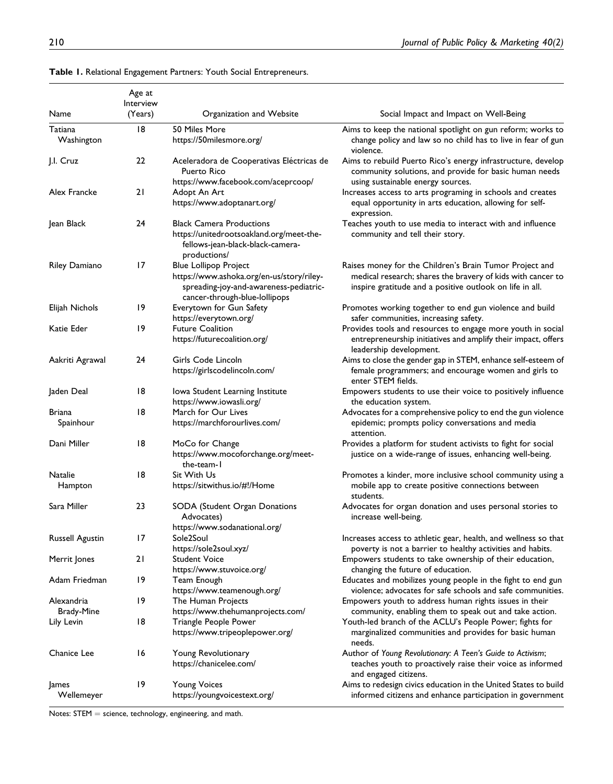|                            | Age at<br>Interview |                                                                                                                                               |                                                                                                                                                                                    |
|----------------------------|---------------------|-----------------------------------------------------------------------------------------------------------------------------------------------|------------------------------------------------------------------------------------------------------------------------------------------------------------------------------------|
| Name                       | (Years)             | Organization and Website                                                                                                                      | Social Impact and Impact on Well-Being                                                                                                                                             |
| Tatiana<br>Washington      | 18                  | 50 Miles More<br>https://50milesmore.org/                                                                                                     | Aims to keep the national spotlight on gun reform; works to<br>change policy and law so no child has to live in fear of gun<br>violence.                                           |
| J.I. Cruz                  | 22                  | Aceleradora de Cooperativas Eléctricas de<br>Puerto Rico<br>https://www.facebook.com/aceprcoop/                                               | Aims to rebuild Puerto Rico's energy infrastructure, develop<br>community solutions, and provide for basic human needs<br>using sustainable energy sources.                        |
| Alex Francke               | 21                  | Adopt An Art<br>https://www.adoptanart.org/                                                                                                   | Increases access to arts programing in schools and creates<br>equal opportunity in arts education, allowing for self-<br>expression.                                               |
| Jean Black                 | 24                  | <b>Black Camera Productions</b><br>https://unitedrootsoakland.org/meet-the-<br>fellows-jean-black-black-camera-<br>productions/               | Teaches youth to use media to interact with and influence<br>community and tell their story.                                                                                       |
| Riley Damiano              | 17                  | Blue Lollipop Project<br>https://www.ashoka.org/en-us/story/riley-<br>spreading-joy-and-awareness-pediatric-<br>cancer-through-blue-lollipops | Raises money for the Children's Brain Tumor Project and<br>medical research; shares the bravery of kids with cancer to<br>inspire gratitude and a positive outlook on life in all. |
| Elijah Nichols             | 19                  | Everytown for Gun Safety<br>https://everytown.org/                                                                                            | Promotes working together to end gun violence and build<br>safer communities, increasing safety.                                                                                   |
| Katie Eder                 | 19                  | <b>Future Coalition</b><br>https://futurecoalition.org/                                                                                       | Provides tools and resources to engage more youth in social<br>entrepreneurship initiatives and amplify their impact, offers<br>leadership development.                            |
| Aakriti Agrawal            | 24                  | Girls Code Lincoln<br>https://girlscodelincoln.com/                                                                                           | Aims to close the gender gap in STEM, enhance self-esteem of<br>female programmers; and encourage women and girls to<br>enter STEM fields.                                         |
| Jaden Deal                 | 18                  | Iowa Student Learning Institute<br>https://www.iowasli.org/                                                                                   | Empowers students to use their voice to positively influence<br>the education system.                                                                                              |
| <b>Briana</b><br>Spainhour | 18                  | March for Our Lives<br>https://marchforourlives.com/                                                                                          | Advocates for a comprehensive policy to end the gun violence<br>epidemic; prompts policy conversations and media<br>attention.                                                     |
| Dani Miller                | 18                  | MoCo for Change<br>https://www.mocoforchange.org/meet-<br>the-team-1                                                                          | Provides a platform for student activists to fight for social<br>justice on a wide-range of issues, enhancing well-being.                                                          |
| Natalie<br>Hampton         | 8                   | Sit With Us<br>https://sitwithus.io/#!/Home                                                                                                   | Promotes a kinder, more inclusive school community using a<br>mobile app to create positive connections between<br>students.                                                       |
| Sara Miller                | 23                  | SODA (Student Organ Donations<br>Advocates)<br>https://www.sodanational.org/                                                                  | Advocates for organ donation and uses personal stories to<br>increase well-being.                                                                                                  |
| Russell Agustin            | 17                  | Sole2Soul<br>https://sole2soul.xyz/                                                                                                           | Increases access to athletic gear, health, and wellness so that<br>poverty is not a barrier to healthy activities and habits.                                                      |
| Merrit Jones               | 21                  | Student Voice<br>https://www.stuvoice.org/                                                                                                    | Empowers students to take ownership of their education,<br>changing the future of education.                                                                                       |
| Adam Friedman              | 19                  | Team Enough<br>https://www.teamenough.org/                                                                                                    | Educates and mobilizes young people in the fight to end gun<br>violence; advocates for safe schools and safe communities.                                                          |
| Alexandria<br>Brady-Mine   | 19                  | The Human Projects<br>https://www.thehumanprojects.com/                                                                                       | Empowers youth to address human rights issues in their<br>community, enabling them to speak out and take action.                                                                   |
| Lily Levin                 | 18                  | Triangle People Power<br>https://www.tripeoplepower.org/                                                                                      | Youth-led branch of the ACLU's People Power; fights for<br>marginalized communities and provides for basic human<br>needs.                                                         |
| Chanice Lee                | 16                  | Young Revolutionary<br>https://chanicelee.com/                                                                                                | Author of Young Revolutionary: A Teen's Guide to Activism;<br>teaches youth to proactively raise their voice as informed<br>and engaged citizens.                                  |
| James<br>Wellemeyer        | 9                   | <b>Young Voices</b><br>https://youngvoicestext.org/                                                                                           | Aims to redesign civics education in the United States to build<br>informed citizens and enhance participation in government                                                       |

**Table 1.** Relational Engagement Partners: Youth Social Entrepreneurs.

Notes:  $\text{STEM} = \text{science}$ , technology, engineering, and math.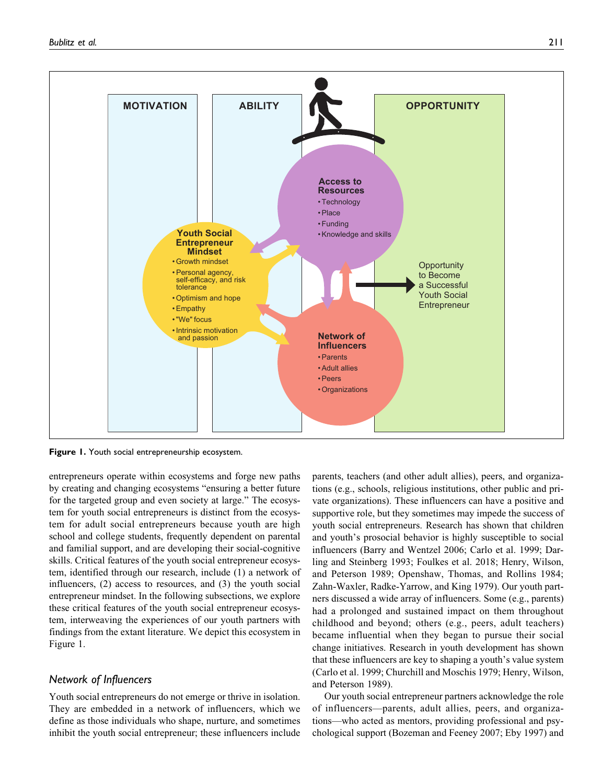

**Figure 1.** Youth social entrepreneurship ecosystem.

entrepreneurs operate within ecosystems and forge new paths by creating and changing ecosystems "ensuring a better future for the targeted group and even society at large." The ecosystem for youth social entrepreneurs is distinct from the ecosystem for adult social entrepreneurs because youth are high school and college students, frequently dependent on parental and familial support, and are developing their social-cognitive skills. Critical features of the youth social entrepreneur ecosystem, identified through our research, include (1) a network of influencers, (2) access to resources, and (3) the youth social entrepreneur mindset. In the following subsections, we explore these critical features of the youth social entrepreneur ecosystem, interweaving the experiences of our youth partners with findings from the extant literature. We depict this ecosystem in Figure 1.

## *Network of Influencers*

Youth social entrepreneurs do not emerge or thrive in isolation. They are embedded in a network of influencers, which we define as those individuals who shape, nurture, and sometimes inhibit the youth social entrepreneur; these influencers include

parents, teachers (and other adult allies), peers, and organizations (e.g., schools, religious institutions, other public and private organizations). These influencers can have a positive and supportive role, but they sometimes may impede the success of youth social entrepreneurs. Research has shown that children and youth's prosocial behavior is highly susceptible to social influencers (Barry and Wentzel 2006; Carlo et al. 1999; Darling and Steinberg 1993; Foulkes et al. 2018; Henry, Wilson, and Peterson 1989; Openshaw, Thomas, and Rollins 1984; Zahn-Waxler, Radke-Yarrow, and King 1979). Our youth partners discussed a wide array of influencers. Some (e.g., parents) had a prolonged and sustained impact on them throughout childhood and beyond; others (e.g., peers, adult teachers) became influential when they began to pursue their social change initiatives. Research in youth development has shown that these influencers are key to shaping a youth's value system (Carlo et al. 1999; Churchill and Moschis 1979; Henry, Wilson, and Peterson 1989).

Our youth social entrepreneur partners acknowledge the role of influencers—parents, adult allies, peers, and organizations—who acted as mentors, providing professional and psychological support (Bozeman and Feeney 2007; Eby 1997) and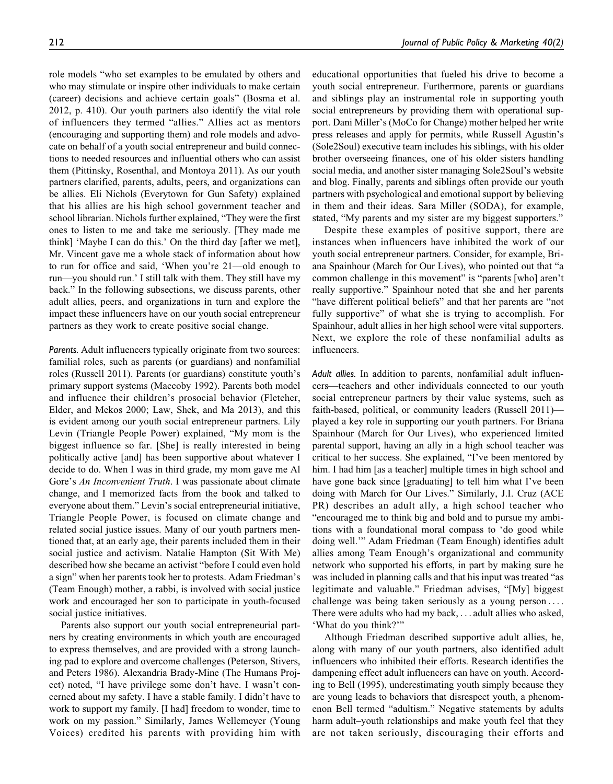role models "who set examples to be emulated by others and who may stimulate or inspire other individuals to make certain (career) decisions and achieve certain goals" (Bosma et al. 2012, p. 410). Our youth partners also identify the vital role of influencers they termed "allies." Allies act as mentors (encouraging and supporting them) and role models and advocate on behalf of a youth social entrepreneur and build connections to needed resources and influential others who can assist them (Pittinsky, Rosenthal, and Montoya 2011). As our youth partners clarified, parents, adults, peers, and organizations can be allies. Eli Nichols (Everytown for Gun Safety) explained that his allies are his high school government teacher and school librarian. Nichols further explained, "They were the first ones to listen to me and take me seriously. [They made me think] 'Maybe I can do this.' On the third day [after we met], Mr. Vincent gave me a whole stack of information about how to run for office and said, 'When you're 21—old enough to run—you should run.' I still talk with them. They still have my back." In the following subsections, we discuss parents, other adult allies, peers, and organizations in turn and explore the impact these influencers have on our youth social entrepreneur partners as they work to create positive social change.

*Parents.* Adult influencers typically originate from two sources: familial roles, such as parents (or guardians) and nonfamilial roles (Russell 2011). Parents (or guardians) constitute youth's primary support systems (Maccoby 1992). Parents both model and influence their children's prosocial behavior (Fletcher, Elder, and Mekos 2000; Law, Shek, and Ma 2013), and this is evident among our youth social entrepreneur partners. Lily Levin (Triangle People Power) explained, "My mom is the biggest influence so far. [She] is really interested in being politically active [and] has been supportive about whatever I decide to do. When I was in third grade, my mom gave me Al Gore's An Inconvenient Truth. I was passionate about climate change, and I memorized facts from the book and talked to everyone about them." Levin's social entrepreneurial initiative, Triangle People Power, is focused on climate change and related social justice issues. Many of our youth partners mentioned that, at an early age, their parents included them in their social justice and activism. Natalie Hampton (Sit With Me) described how she became an activist "before I could even hold a sign" when her parents took her to protests. Adam Friedman's (Team Enough) mother, a rabbi, is involved with social justice work and encouraged her son to participate in youth-focused social justice initiatives.

Parents also support our youth social entrepreneurial partners by creating environments in which youth are encouraged to express themselves, and are provided with a strong launching pad to explore and overcome challenges (Peterson, Stivers, and Peters 1986). Alexandria Brady-Mine (The Humans Project) noted, "I have privilege some don't have. I wasn't concerned about my safety. I have a stable family. I didn't have to work to support my family. [I had] freedom to wonder, time to work on my passion." Similarly, James Wellemeyer (Young Voices) credited his parents with providing him with educational opportunities that fueled his drive to become a youth social entrepreneur. Furthermore, parents or guardians and siblings play an instrumental role in supporting youth social entrepreneurs by providing them with operational support. Dani Miller's (MoCo for Change) mother helped her write press releases and apply for permits, while Russell Agustin's (Sole2Soul) executive team includes his siblings, with his older brother overseeing finances, one of his older sisters handling social media, and another sister managing Sole2Soul's website and blog. Finally, parents and siblings often provide our youth partners with psychological and emotional support by believing in them and their ideas. Sara Miller (SODA), for example, stated, "My parents and my sister are my biggest supporters."

Despite these examples of positive support, there are instances when influencers have inhibited the work of our youth social entrepreneur partners. Consider, for example, Briana Spainhour (March for Our Lives), who pointed out that "a common challenge in this movement" is "parents [who] aren't really supportive." Spainhour noted that she and her parents "have different political beliefs" and that her parents are "not fully supportive" of what she is trying to accomplish. For Spainhour, adult allies in her high school were vital supporters. Next, we explore the role of these nonfamilial adults as influencers.

*Adult allies.* In addition to parents, nonfamilial adult influencers—teachers and other individuals connected to our youth social entrepreneur partners by their value systems, such as faith-based, political, or community leaders (Russell 2011) played a key role in supporting our youth partners. For Briana Spainhour (March for Our Lives), who experienced limited parental support, having an ally in a high school teacher was critical to her success. She explained, "I've been mentored by him. I had him [as a teacher] multiple times in high school and have gone back since [graduating] to tell him what I've been doing with March for Our Lives." Similarly, J.I. Cruz (ACE PR) describes an adult ally, a high school teacher who "encouraged me to think big and bold and to pursue my ambitions with a foundational moral compass to 'do good while doing well.'" Adam Friedman (Team Enough) identifies adult allies among Team Enough's organizational and community network who supported his efforts, in part by making sure he was included in planning calls and that his input was treated "as legitimate and valuable." Friedman advises, "[My] biggest challenge was being taken seriously as a young person ... . There were adults who had my back, ... adult allies who asked, 'What do you think?'"

Although Friedman described supportive adult allies, he, along with many of our youth partners, also identified adult influencers who inhibited their efforts. Research identifies the dampening effect adult influencers can have on youth. According to Bell (1995), underestimating youth simply because they are young leads to behaviors that disrespect youth, a phenomenon Bell termed "adultism." Negative statements by adults harm adult–youth relationships and make youth feel that they are not taken seriously, discouraging their efforts and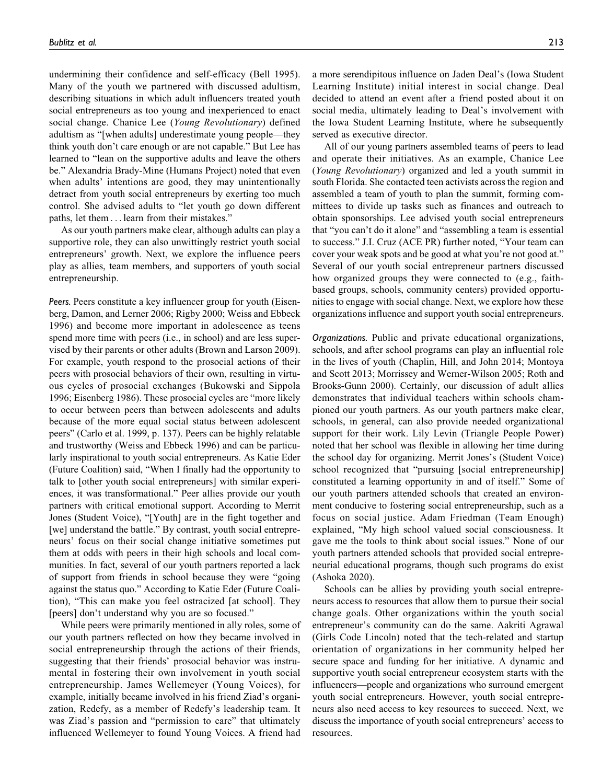undermining their confidence and self-efficacy (Bell 1995). Many of the youth we partnered with discussed adultism, describing situations in which adult influencers treated youth social entrepreneurs as too young and inexperienced to enact social change. Chanice Lee (Young Revolutionary) defined adultism as "[when adults] underestimate young people—they think youth don't care enough or are not capable." But Lee has learned to "lean on the supportive adults and leave the others be." Alexandria Brady-Mine (Humans Project) noted that even when adults' intentions are good, they may unintentionally detract from youth social entrepreneurs by exerting too much control. She advised adults to "let youth go down different paths, let them ... learn from their mistakes."

As our youth partners make clear, although adults can play a supportive role, they can also unwittingly restrict youth social entrepreneurs' growth. Next, we explore the influence peers play as allies, team members, and supporters of youth social entrepreneurship.

*Peers.* Peers constitute a key influencer group for youth (Eisenberg, Damon, and Lerner 2006; Rigby 2000; Weiss and Ebbeck 1996) and become more important in adolescence as teens spend more time with peers (i.e., in school) and are less supervised by their parents or other adults (Brown and Larson 2009). For example, youth respond to the prosocial actions of their peers with prosocial behaviors of their own, resulting in virtuous cycles of prosocial exchanges (Bukowski and Sippola 1996; Eisenberg 1986). These prosocial cycles are "more likely to occur between peers than between adolescents and adults because of the more equal social status between adolescent peers" (Carlo et al. 1999, p. 137). Peers can be highly relatable and trustworthy (Weiss and Ebbeck 1996) and can be particularly inspirational to youth social entrepreneurs. As Katie Eder (Future Coalition) said, "When I finally had the opportunity to talk to [other youth social entrepreneurs] with similar experiences, it was transformational." Peer allies provide our youth partners with critical emotional support. According to Merrit Jones (Student Voice), "[Youth] are in the fight together and [we] understand the battle." By contrast, youth social entrepreneurs' focus on their social change initiative sometimes put them at odds with peers in their high schools and local communities. In fact, several of our youth partners reported a lack of support from friends in school because they were "going against the status quo." According to Katie Eder (Future Coalition), "This can make you feel ostracized [at school]. They [peers] don't understand why you are so focused."

While peers were primarily mentioned in ally roles, some of our youth partners reflected on how they became involved in social entrepreneurship through the actions of their friends, suggesting that their friends' prosocial behavior was instrumental in fostering their own involvement in youth social entrepreneurship. James Wellemeyer (Young Voices), for example, initially became involved in his friend Ziad's organization, Redefy, as a member of Redefy's leadership team. It was Ziad's passion and "permission to care" that ultimately influenced Wellemeyer to found Young Voices. A friend had

a more serendipitous influence on Jaden Deal's (Iowa Student Learning Institute) initial interest in social change. Deal decided to attend an event after a friend posted about it on social media, ultimately leading to Deal's involvement with the Iowa Student Learning Institute, where he subsequently served as executive director.

All of our young partners assembled teams of peers to lead and operate their initiatives. As an example, Chanice Lee (Young Revolutionary) organized and led a youth summit in south Florida. She contacted teen activists across the region and assembled a team of youth to plan the summit, forming committees to divide up tasks such as finances and outreach to obtain sponsorships. Lee advised youth social entrepreneurs that "you can't do it alone" and "assembling a team is essential to success." J.I. Cruz (ACE PR) further noted, "Your team can cover your weak spots and be good at what you're not good at." Several of our youth social entrepreneur partners discussed how organized groups they were connected to (e.g., faithbased groups, schools, community centers) provided opportunities to engage with social change. Next, we explore how these organizations influence and support youth social entrepreneurs.

*Organizations.* Public and private educational organizations, schools, and after school programs can play an influential role in the lives of youth (Chaplin, Hill, and John 2014; Montoya and Scott 2013; Morrissey and Werner-Wilson 2005; Roth and Brooks-Gunn 2000). Certainly, our discussion of adult allies demonstrates that individual teachers within schools championed our youth partners. As our youth partners make clear, schools, in general, can also provide needed organizational support for their work. Lily Levin (Triangle People Power) noted that her school was flexible in allowing her time during the school day for organizing. Merrit Jones's (Student Voice) school recognized that "pursuing [social entrepreneurship] constituted a learning opportunity in and of itself." Some of our youth partners attended schools that created an environment conducive to fostering social entrepreneurship, such as a focus on social justice. Adam Friedman (Team Enough) explained, "My high school valued social consciousness. It gave me the tools to think about social issues." None of our youth partners attended schools that provided social entrepreneurial educational programs, though such programs do exist (Ashoka 2020).

Schools can be allies by providing youth social entrepreneurs access to resources that allow them to pursue their social change goals. Other organizations within the youth social entrepreneur's community can do the same. Aakriti Agrawal (Girls Code Lincoln) noted that the tech-related and startup orientation of organizations in her community helped her secure space and funding for her initiative. A dynamic and supportive youth social entrepreneur ecosystem starts with the influencers—people and organizations who surround emergent youth social entrepreneurs. However, youth social entrepreneurs also need access to key resources to succeed. Next, we discuss the importance of youth social entrepreneurs' access to resources.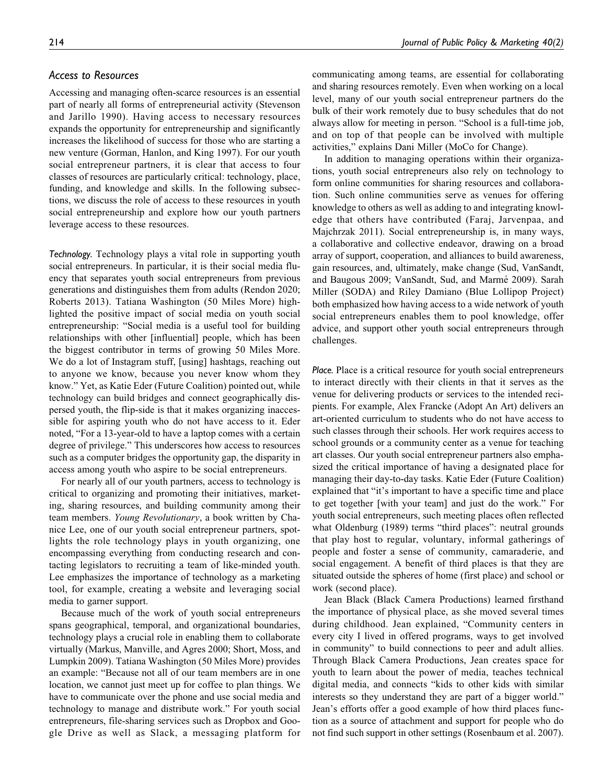## 214 *Journal of Public Policy & Marketing 40(2)*

## *Access to Resources*

Accessing and managing often-scarce resources is an essential part of nearly all forms of entrepreneurial activity (Stevenson and Jarillo 1990). Having access to necessary resources expands the opportunity for entrepreneurship and significantly increases the likelihood of success for those who are starting a new venture (Gorman, Hanlon, and King 1997). For our youth social entrepreneur partners, it is clear that access to four classes of resources are particularly critical: technology, place, funding, and knowledge and skills. In the following subsections, we discuss the role of access to these resources in youth social entrepreneurship and explore how our youth partners leverage access to these resources.

*Technology.* Technology plays a vital role in supporting youth social entrepreneurs. In particular, it is their social media fluency that separates youth social entrepreneurs from previous generations and distinguishes them from adults (Rendon 2020; Roberts 2013). Tatiana Washington (50 Miles More) highlighted the positive impact of social media on youth social entrepreneurship: "Social media is a useful tool for building relationships with other [influential] people, which has been the biggest contributor in terms of growing 50 Miles More. We do a lot of Instagram stuff, [using] hashtags, reaching out to anyone we know, because you never know whom they know." Yet, as Katie Eder (Future Coalition) pointed out, while technology can build bridges and connect geographically dispersed youth, the flip-side is that it makes organizing inaccessible for aspiring youth who do not have access to it. Eder noted, "For a 13-year-old to have a laptop comes with a certain degree of privilege." This underscores how access to resources such as a computer bridges the opportunity gap, the disparity in access among youth who aspire to be social entrepreneurs.

For nearly all of our youth partners, access to technology is critical to organizing and promoting their initiatives, marketing, sharing resources, and building community among their team members. Young Revolutionary, a book written by Chanice Lee, one of our youth social entrepreneur partners, spotlights the role technology plays in youth organizing, one encompassing everything from conducting research and contacting legislators to recruiting a team of like-minded youth. Lee emphasizes the importance of technology as a marketing tool, for example, creating a website and leveraging social media to garner support.

Because much of the work of youth social entrepreneurs spans geographical, temporal, and organizational boundaries, technology plays a crucial role in enabling them to collaborate virtually (Markus, Manville, and Agres 2000; Short, Moss, and Lumpkin 2009). Tatiana Washington (50 Miles More) provides an example: "Because not all of our team members are in one location, we cannot just meet up for coffee to plan things. We have to communicate over the phone and use social media and technology to manage and distribute work." For youth social entrepreneurs, file-sharing services such as Dropbox and Google Drive as well as Slack, a messaging platform for

communicating among teams, are essential for collaborating and sharing resources remotely. Even when working on a local level, many of our youth social entrepreneur partners do the bulk of their work remotely due to busy schedules that do not always allow for meeting in person. "School is a full-time job, and on top of that people can be involved with multiple activities," explains Dani Miller (MoCo for Change).

In addition to managing operations within their organizations, youth social entrepreneurs also rely on technology to form online communities for sharing resources and collaboration. Such online communities serve as venues for offering knowledge to others as well as adding to and integrating knowledge that others have contributed (Faraj, Jarvenpaa, and Majchrzak 2011). Social entrepreneurship is, in many ways, a collaborative and collective endeavor, drawing on a broad array of support, cooperation, and alliances to build awareness, gain resources, and, ultimately, make change (Sud, VanSandt, and Baugous 2009; VanSandt, Sud, and Marmé 2009). Sarah Miller (SODA) and Riley Damiano (Blue Lollipop Project) both emphasized how having access to a wide network of youth social entrepreneurs enables them to pool knowledge, offer advice, and support other youth social entrepreneurs through challenges.

*Place.* Place is a critical resource for youth social entrepreneurs to interact directly with their clients in that it serves as the venue for delivering products or services to the intended recipients. For example, Alex Francke (Adopt An Art) delivers an art-oriented curriculum to students who do not have access to such classes through their schools. Her work requires access to school grounds or a community center as a venue for teaching art classes. Our youth social entrepreneur partners also emphasized the critical importance of having a designated place for managing their day-to-day tasks. Katie Eder (Future Coalition) explained that "it's important to have a specific time and place to get together [with your team] and just do the work." For youth social entrepreneurs, such meeting places often reflected what Oldenburg (1989) terms "third places": neutral grounds that play host to regular, voluntary, informal gatherings of people and foster a sense of community, camaraderie, and social engagement. A benefit of third places is that they are situated outside the spheres of home (first place) and school or work (second place).

Jean Black (Black Camera Productions) learned firsthand the importance of physical place, as she moved several times during childhood. Jean explained, "Community centers in every city I lived in offered programs, ways to get involved in community" to build connections to peer and adult allies. Through Black Camera Productions, Jean creates space for youth to learn about the power of media, teaches technical digital media, and connects "kids to other kids with similar interests so they understand they are part of a bigger world." Jean's efforts offer a good example of how third places function as a source of attachment and support for people who do not find such support in other settings (Rosenbaum et al. 2007).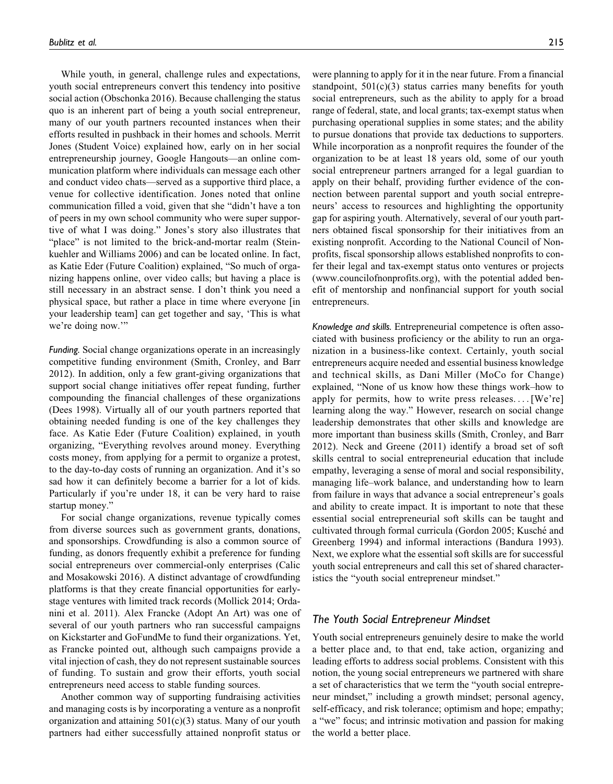While youth, in general, challenge rules and expectations, youth social entrepreneurs convert this tendency into positive social action (Obschonka 2016). Because challenging the status quo is an inherent part of being a youth social entrepreneur, many of our youth partners recounted instances when their efforts resulted in pushback in their homes and schools. Merrit Jones (Student Voice) explained how, early on in her social entrepreneurship journey, Google Hangouts—an online communication platform where individuals can message each other and conduct video chats—served as a supportive third place, a venue for collective identification. Jones noted that online communication filled a void, given that she "didn't have a ton of peers in my own school community who were super supportive of what I was doing." Jones's story also illustrates that "place" is not limited to the brick-and-mortar realm (Steinkuehler and Williams 2006) and can be located online. In fact, as Katie Eder (Future Coalition) explained, "So much of organizing happens online, over video calls; but having a place is still necessary in an abstract sense. I don't think you need a physical space, but rather a place in time where everyone [in your leadership team] can get together and say, 'This is what we're doing now.'"

*Funding.* Social change organizations operate in an increasingly competitive funding environment (Smith, Cronley, and Barr 2012). In addition, only a few grant-giving organizations that support social change initiatives offer repeat funding, further compounding the financial challenges of these organizations (Dees 1998). Virtually all of our youth partners reported that obtaining needed funding is one of the key challenges they face. As Katie Eder (Future Coalition) explained, in youth organizing, "Everything revolves around money. Everything costs money, from applying for a permit to organize a protest, to the day-to-day costs of running an organization. And it's so sad how it can definitely become a barrier for a lot of kids. Particularly if you're under 18, it can be very hard to raise startup money."

For social change organizations, revenue typically comes from diverse sources such as government grants, donations, and sponsorships. Crowdfunding is also a common source of funding, as donors frequently exhibit a preference for funding social entrepreneurs over commercial-only enterprises (Calic and Mosakowski 2016). A distinct advantage of crowdfunding platforms is that they create financial opportunities for earlystage ventures with limited track records (Mollick 2014; Ordanini et al. 2011). Alex Francke (Adopt An Art) was one of several of our youth partners who ran successful campaigns on Kickstarter and GoFundMe to fund their organizations. Yet, as Francke pointed out, although such campaigns provide a vital injection of cash, they do not represent sustainable sources of funding. To sustain and grow their efforts, youth social entrepreneurs need access to stable funding sources.

Another common way of supporting fundraising activities and managing costs is by incorporating a venture as a nonprofit organization and attaining  $501(c)(3)$  status. Many of our youth partners had either successfully attained nonprofit status or

were planning to apply for it in the near future. From a financial standpoint, 501(c)(3) status carries many benefits for youth social entrepreneurs, such as the ability to apply for a broad range of federal, state, and local grants; tax-exempt status when purchasing operational supplies in some states; and the ability to pursue donations that provide tax deductions to supporters. While incorporation as a nonprofit requires the founder of the organization to be at least 18 years old, some of our youth social entrepreneur partners arranged for a legal guardian to apply on their behalf, providing further evidence of the connection between parental support and youth social entrepreneurs' access to resources and highlighting the opportunity gap for aspiring youth. Alternatively, several of our youth partners obtained fiscal sponsorship for their initiatives from an existing nonprofit. According to the National Council of Nonprofits, fiscal sponsorship allows established nonprofits to confer their legal and tax-exempt status onto ventures or projects [\(www.councilofnonprofits.org\)](http://www.councilofnonprofits.org), with the potential added benefit of mentorship and nonfinancial support for youth social entrepreneurs.

*Knowledge and skills.* Entrepreneurial competence is often associated with business proficiency or the ability to run an organization in a business-like context. Certainly, youth social entrepreneurs acquire needed and essential business knowledge and technical skills, as Dani Miller (MoCo for Change) explained, "None of us know how these things work–how to apply for permits, how to write press releases. ... [We're] learning along the way." However, research on social change leadership demonstrates that other skills and knowledge are more important than business skills (Smith, Cronley, and Barr 2012). Neck and Greene (2011) identify a broad set of soft skills central to social entrepreneurial education that include empathy, leveraging a sense of moral and social responsibility, managing life–work balance, and understanding how to learn from failure in ways that advance a social entrepreneur's goals and ability to create impact. It is important to note that these essential social entrepreneurial soft skills can be taught and cultivated through formal curricula (Gordon 2005; Kusch´e and Greenberg 1994) and informal interactions (Bandura 1993). Next, we explore what the essential soft skills are for successful youth social entrepreneurs and call this set of shared characteristics the "youth social entrepreneur mindset."

## *The Youth Social Entrepreneur Mindset*

Youth social entrepreneurs genuinely desire to make the world a better place and, to that end, take action, organizing and leading efforts to address social problems. Consistent with this notion, the young social entrepreneurs we partnered with share a set of characteristics that we term the "youth social entrepreneur mindset," including a growth mindset; personal agency, self-efficacy, and risk tolerance; optimism and hope; empathy; a "we" focus; and intrinsic motivation and passion for making the world a better place.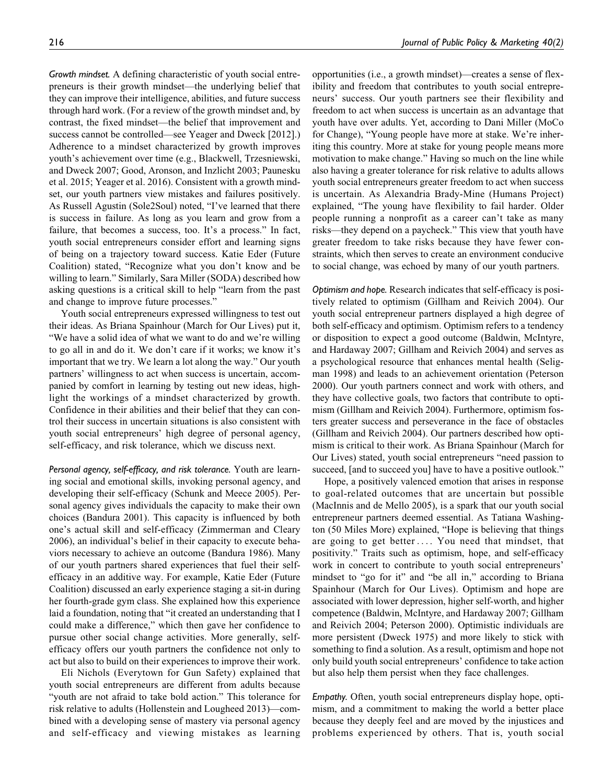216 *Journal of Public Policy & Marketing 40(2)*

*Growth mindset.* A defining characteristic of youth social entrepreneurs is their growth mindset—the underlying belief that they can improve their intelligence, abilities, and future success through hard work. (For a review of the growth mindset and, by contrast, the fixed mindset—the belief that improvement and success cannot be controlled—see Yeager and Dweck [2012].) Adherence to a mindset characterized by growth improves youth's achievement over time (e.g., Blackwell, Trzesniewski, and Dweck 2007; Good, Aronson, and Inzlicht 2003; Paunesku et al. 2015; Yeager et al. 2016). Consistent with a growth mindset, our youth partners view mistakes and failures positively. As Russell Agustin (Sole2Soul) noted, "I've learned that there is success in failure. As long as you learn and grow from a failure, that becomes a success, too. It's a process." In fact, youth social entrepreneurs consider effort and learning signs of being on a trajectory toward success. Katie Eder (Future Coalition) stated, "Recognize what you don't know and be willing to learn." Similarly, Sara Miller (SODA) described how asking questions is a critical skill to help "learn from the past and change to improve future processes."

Youth social entrepreneurs expressed willingness to test out their ideas. As Briana Spainhour (March for Our Lives) put it, "We have a solid idea of what we want to do and we're willing to go all in and do it. We don't care if it works; we know it's important that we try. We learn a lot along the way." Our youth partners' willingness to act when success is uncertain, accompanied by comfort in learning by testing out new ideas, highlight the workings of a mindset characterized by growth. Confidence in their abilities and their belief that they can control their success in uncertain situations is also consistent with youth social entrepreneurs' high degree of personal agency, self-efficacy, and risk tolerance, which we discuss next.

*Personal agency, self-efficacy, and risk tolerance.* Youth are learning social and emotional skills, invoking personal agency, and developing their self-efficacy (Schunk and Meece 2005). Personal agency gives individuals the capacity to make their own choices (Bandura 2001). This capacity is influenced by both one's actual skill and self-efficacy (Zimmerman and Cleary 2006), an individual's belief in their capacity to execute behaviors necessary to achieve an outcome (Bandura 1986). Many of our youth partners shared experiences that fuel their selfefficacy in an additive way. For example, Katie Eder (Future Coalition) discussed an early experience staging a sit-in during her fourth-grade gym class. She explained how this experience laid a foundation, noting that "it created an understanding that I could make a difference," which then gave her confidence to pursue other social change activities. More generally, selfefficacy offers our youth partners the confidence not only to act but also to build on their experiences to improve their work.

Eli Nichols (Everytown for Gun Safety) explained that youth social entrepreneurs are different from adults because "youth are not afraid to take bold action." This tolerance for risk relative to adults (Hollenstein and Lougheed 2013)—combined with a developing sense of mastery via personal agency and self-efficacy and viewing mistakes as learning opportunities (i.e., a growth mindset)—creates a sense of flexibility and freedom that contributes to youth social entrepreneurs' success. Our youth partners see their flexibility and freedom to act when success is uncertain as an advantage that youth have over adults. Yet, according to Dani Miller (MoCo for Change), "Young people have more at stake. We're inheriting this country. More at stake for young people means more motivation to make change." Having so much on the line while also having a greater tolerance for risk relative to adults allows youth social entrepreneurs greater freedom to act when success is uncertain. As Alexandria Brady-Mine (Humans Project) explained, "The young have flexibility to fail harder. Older people running a nonprofit as a career can't take as many risks—they depend on a paycheck." This view that youth have greater freedom to take risks because they have fewer constraints, which then serves to create an environment conducive to social change, was echoed by many of our youth partners.

*Optimism and hope.* Research indicates that self-efficacy is positively related to optimism (Gillham and Reivich 2004). Our youth social entrepreneur partners displayed a high degree of both self-efficacy and optimism. Optimism refers to a tendency or disposition to expect a good outcome (Baldwin, McIntyre, and Hardaway 2007; Gillham and Reivich 2004) and serves as a psychological resource that enhances mental health (Seligman 1998) and leads to an achievement orientation (Peterson 2000). Our youth partners connect and work with others, and they have collective goals, two factors that contribute to optimism (Gillham and Reivich 2004). Furthermore, optimism fosters greater success and perseverance in the face of obstacles (Gillham and Reivich 2004). Our partners described how optimism is critical to their work. As Briana Spainhour (March for Our Lives) stated, youth social entrepreneurs "need passion to succeed, [and to succeed you] have to have a positive outlook."

Hope, a positively valenced emotion that arises in response to goal-related outcomes that are uncertain but possible (MacInnis and de Mello 2005), is a spark that our youth social entrepreneur partners deemed essential. As Tatiana Washington (50 Miles More) explained, "Hope is believing that things are going to get better ... . You need that mindset, that positivity." Traits such as optimism, hope, and self-efficacy work in concert to contribute to youth social entrepreneurs' mindset to "go for it" and "be all in," according to Briana Spainhour (March for Our Lives). Optimism and hope are associated with lower depression, higher self-worth, and higher competence (Baldwin, McIntyre, and Hardaway 2007; Gillham and Reivich 2004; Peterson 2000). Optimistic individuals are more persistent (Dweck 1975) and more likely to stick with something to find a solution. As a result, optimism and hope not only build youth social entrepreneurs' confidence to take action but also help them persist when they face challenges.

*Empathy.* Often, youth social entrepreneurs display hope, optimism, and a commitment to making the world a better place because they deeply feel and are moved by the injustices and problems experienced by others. That is, youth social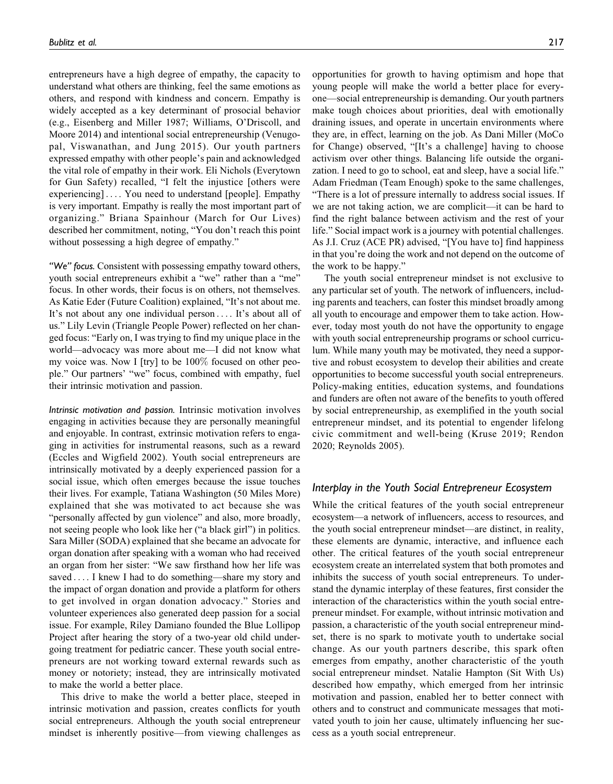entrepreneurs have a high degree of empathy, the capacity to understand what others are thinking, feel the same emotions as others, and respond with kindness and concern. Empathy is widely accepted as a key determinant of prosocial behavior (e.g., Eisenberg and Miller 1987; Williams, O'Driscoll, and Moore 2014) and intentional social entrepreneurship (Venugopal, Viswanathan, and Jung 2015). Our youth partners expressed empathy with other people's pain and acknowledged the vital role of empathy in their work. Eli Nichols (Everytown for Gun Safety) recalled, "I felt the injustice [others were experiencing] ... . You need to understand [people]. Empathy is very important. Empathy is really the most important part of organizing." Briana Spainhour (March for Our Lives) described her commitment, noting, "You don't reach this point without possessing a high degree of empathy."

*"We" focus.* Consistent with possessing empathy toward others, youth social entrepreneurs exhibit a "we" rather than a "me" focus. In other words, their focus is on others, not themselves. As Katie Eder (Future Coalition) explained, "It's not about me. It's not about any one individual person ... . It's about all of us." Lily Levin (Triangle People Power) reflected on her changed focus: "Early on, I was trying to find my unique place in the world—advocacy was more about me—I did not know what my voice was. Now I [try] to be 100% focused on other people." Our partners' "we" focus, combined with empathy, fuel their intrinsic motivation and passion.

*Intrinsic motivation and passion.* Intrinsic motivation involves engaging in activities because they are personally meaningful and enjoyable. In contrast, extrinsic motivation refers to engaging in activities for instrumental reasons, such as a reward (Eccles and Wigfield 2002). Youth social entrepreneurs are intrinsically motivated by a deeply experienced passion for a social issue, which often emerges because the issue touches their lives. For example, Tatiana Washington (50 Miles More) explained that she was motivated to act because she was "personally affected by gun violence" and also, more broadly, not seeing people who look like her ("a black girl") in politics. Sara Miller (SODA) explained that she became an advocate for organ donation after speaking with a woman who had received an organ from her sister: "We saw firsthand how her life was saved ... . I knew I had to do something—share my story and the impact of organ donation and provide a platform for others to get involved in organ donation advocacy." Stories and volunteer experiences also generated deep passion for a social issue. For example, Riley Damiano founded the Blue Lollipop Project after hearing the story of a two-year old child undergoing treatment for pediatric cancer. These youth social entrepreneurs are not working toward external rewards such as money or notoriety; instead, they are intrinsically motivated to make the world a better place.

This drive to make the world a better place, steeped in intrinsic motivation and passion, creates conflicts for youth social entrepreneurs. Although the youth social entrepreneur mindset is inherently positive—from viewing challenges as opportunities for growth to having optimism and hope that young people will make the world a better place for everyone—social entrepreneurship is demanding. Our youth partners make tough choices about priorities, deal with emotionally draining issues, and operate in uncertain environments where they are, in effect, learning on the job. As Dani Miller (MoCo for Change) observed, "[It's a challenge] having to choose activism over other things. Balancing life outside the organization. I need to go to school, eat and sleep, have a social life." Adam Friedman (Team Enough) spoke to the same challenges, "There is a lot of pressure internally to address social issues. If we are not taking action, we are complicit—it can be hard to find the right balance between activism and the rest of your life." Social impact work is a journey with potential challenges. As J.I. Cruz (ACE PR) advised, "[You have to] find happiness in that you're doing the work and not depend on the outcome of the work to be happy."

The youth social entrepreneur mindset is not exclusive to any particular set of youth. The network of influencers, including parents and teachers, can foster this mindset broadly among all youth to encourage and empower them to take action. However, today most youth do not have the opportunity to engage with youth social entrepreneurship programs or school curriculum. While many youth may be motivated, they need a supportive and robust ecosystem to develop their abilities and create opportunities to become successful youth social entrepreneurs. Policy-making entities, education systems, and foundations and funders are often not aware of the benefits to youth offered by social entrepreneurship, as exemplified in the youth social entrepreneur mindset, and its potential to engender lifelong civic commitment and well-being (Kruse 2019; Rendon 2020; Reynolds 2005).

#### *Interplay in the Youth Social Entrepreneur Ecosystem*

While the critical features of the youth social entrepreneur ecosystem—a network of influencers, access to resources, and the youth social entrepreneur mindset—are distinct, in reality, these elements are dynamic, interactive, and influence each other. The critical features of the youth social entrepreneur ecosystem create an interrelated system that both promotes and inhibits the success of youth social entrepreneurs. To understand the dynamic interplay of these features, first consider the interaction of the characteristics within the youth social entrepreneur mindset. For example, without intrinsic motivation and passion, a characteristic of the youth social entrepreneur mindset, there is no spark to motivate youth to undertake social change. As our youth partners describe, this spark often emerges from empathy, another characteristic of the youth social entrepreneur mindset. Natalie Hampton (Sit With Us) described how empathy, which emerged from her intrinsic motivation and passion, enabled her to better connect with others and to construct and communicate messages that motivated youth to join her cause, ultimately influencing her success as a youth social entrepreneur.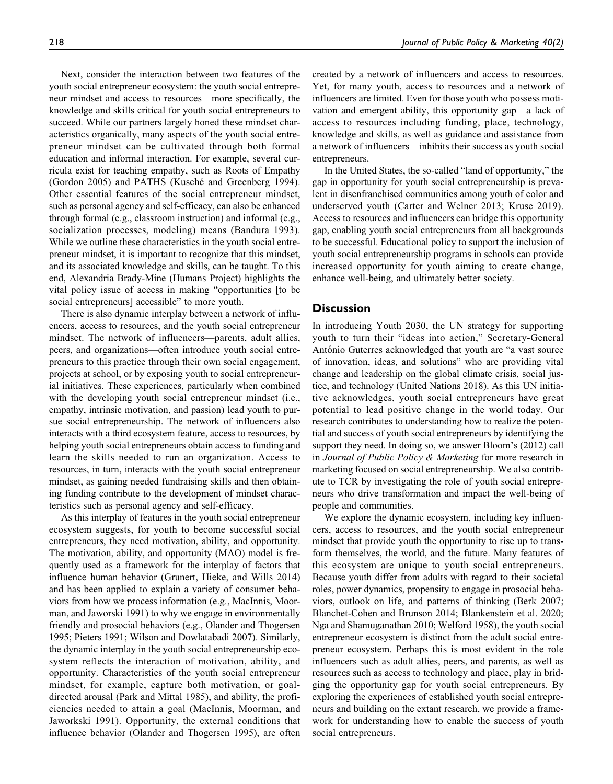Next, consider the interaction between two features of the youth social entrepreneur ecosystem: the youth social entrepreneur mindset and access to resources—more specifically, the knowledge and skills critical for youth social entrepreneurs to succeed. While our partners largely honed these mindset characteristics organically, many aspects of the youth social entrepreneur mindset can be cultivated through both formal education and informal interaction. For example, several curricula exist for teaching empathy, such as Roots of Empathy (Gordon 2005) and PATHS (Kusché and Greenberg 1994). Other essential features of the social entrepreneur mindset, such as personal agency and self-efficacy, can also be enhanced through formal (e.g., classroom instruction) and informal (e.g., socialization processes, modeling) means (Bandura 1993). While we outline these characteristics in the youth social entrepreneur mindset, it is important to recognize that this mindset, and its associated knowledge and skills, can be taught. To this end, Alexandria Brady-Mine (Humans Project) highlights the vital policy issue of access in making "opportunities [to be social entrepreneurs] accessible" to more youth.

There is also dynamic interplay between a network of influencers, access to resources, and the youth social entrepreneur mindset. The network of influencers—parents, adult allies, peers, and organizations—often introduce youth social entrepreneurs to this practice through their own social engagement, projects at school, or by exposing youth to social entrepreneurial initiatives. These experiences, particularly when combined with the developing youth social entrepreneur mindset (i.e., empathy, intrinsic motivation, and passion) lead youth to pursue social entrepreneurship. The network of influencers also interacts with a third ecosystem feature, access to resources, by helping youth social entrepreneurs obtain access to funding and learn the skills needed to run an organization. Access to resources, in turn, interacts with the youth social entrepreneur mindset, as gaining needed fundraising skills and then obtaining funding contribute to the development of mindset characteristics such as personal agency and self-efficacy.

As this interplay of features in the youth social entrepreneur ecosystem suggests, for youth to become successful social entrepreneurs, they need motivation, ability, and opportunity. The motivation, ability, and opportunity (MAO) model is frequently used as a framework for the interplay of factors that influence human behavior (Grunert, Hieke, and Wills 2014) and has been applied to explain a variety of consumer behaviors from how we process information (e.g., MacInnis, Moorman, and Jaworski 1991) to why we engage in environmentally friendly and prosocial behaviors (e.g., Olander and Thogersen 1995; Pieters 1991; Wilson and Dowlatabadi 2007). Similarly, the dynamic interplay in the youth social entrepreneurship ecosystem reflects the interaction of motivation, ability, and opportunity. Characteristics of the youth social entrepreneur mindset, for example, capture both motivation, or goaldirected arousal (Park and Mittal 1985), and ability, the proficiencies needed to attain a goal (MacInnis, Moorman, and Jaworkski 1991). Opportunity, the external conditions that influence behavior (Olander and Thogersen 1995), are often

created by a network of influencers and access to resources. Yet, for many youth, access to resources and a network of influencers are limited. Even for those youth who possess motivation and emergent ability, this opportunity gap—a lack of access to resources including funding, place, technology, knowledge and skills, as well as guidance and assistance from a network of influencers—inhibits their success as youth social entrepreneurs.

In the United States, the so-called "land of opportunity," the gap in opportunity for youth social entrepreneurship is prevalent in disenfranchised communities among youth of color and underserved youth (Carter and Welner 2013; Kruse 2019). Access to resources and influencers can bridge this opportunity gap, enabling youth social entrepreneurs from all backgrounds to be successful. Educational policy to support the inclusion of youth social entrepreneurship programs in schools can provide increased opportunity for youth aiming to create change, enhance well-being, and ultimately better society.

### **Discussion**

In introducing Youth 2030, the UN strategy for supporting youth to turn their "ideas into action," Secretary-General António Guterres acknowledged that youth are "a vast source of innovation, ideas, and solutions" who are providing vital change and leadership on the global climate crisis, social justice, and technology (United Nations 2018). As this UN initiative acknowledges, youth social entrepreneurs have great potential to lead positive change in the world today. Our research contributes to understanding how to realize the potential and success of youth social entrepreneurs by identifying the support they need. In doing so, we answer Bloom's (2012) call in Journal of Public Policy & Marketing for more research in marketing focused on social entrepreneurship. We also contribute to TCR by investigating the role of youth social entrepreneurs who drive transformation and impact the well-being of people and communities.

We explore the dynamic ecosystem, including key influencers, access to resources, and the youth social entrepreneur mindset that provide youth the opportunity to rise up to transform themselves, the world, and the future. Many features of this ecosystem are unique to youth social entrepreneurs. Because youth differ from adults with regard to their societal roles, power dynamics, propensity to engage in prosocial behaviors, outlook on life, and patterns of thinking (Berk 2007; Blanchet-Cohen and Brunson 2014; Blankenstein et al. 2020; Nga and Shamuganathan 2010; Welford 1958), the youth social entrepreneur ecosystem is distinct from the adult social entrepreneur ecosystem. Perhaps this is most evident in the role influencers such as adult allies, peers, and parents, as well as resources such as access to technology and place, play in bridging the opportunity gap for youth social entrepreneurs. By exploring the experiences of established youth social entrepreneurs and building on the extant research, we provide a framework for understanding how to enable the success of youth social entrepreneurs.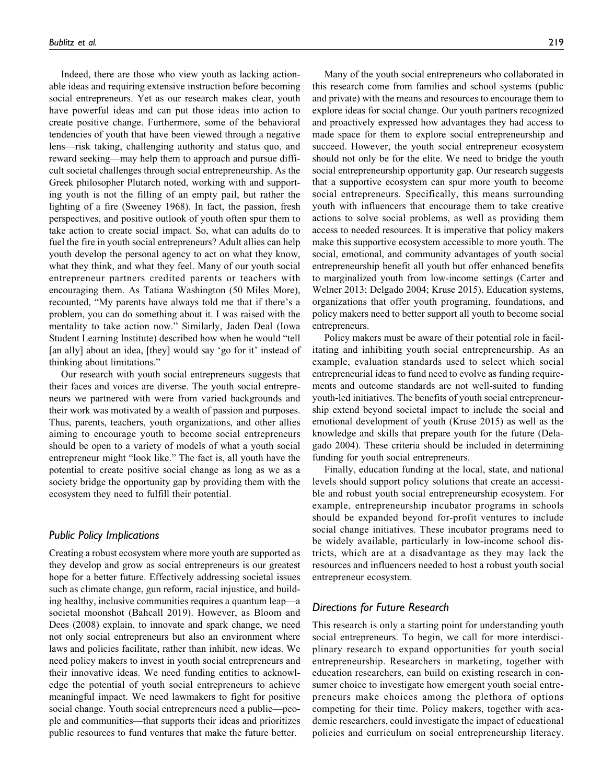Indeed, there are those who view youth as lacking actionable ideas and requiring extensive instruction before becoming social entrepreneurs. Yet as our research makes clear, youth have powerful ideas and can put those ideas into action to create positive change. Furthermore, some of the behavioral tendencies of youth that have been viewed through a negative lens—risk taking, challenging authority and status quo, and reward seeking—may help them to approach and pursue difficult societal challenges through social entrepreneurship. As the Greek philosopher Plutarch noted, working with and supporting youth is not the filling of an empty pail, but rather the lighting of a fire (Sweeney 1968). In fact, the passion, fresh perspectives, and positive outlook of youth often spur them to take action to create social impact. So, what can adults do to fuel the fire in youth social entrepreneurs? Adult allies can help youth develop the personal agency to act on what they know, what they think, and what they feel. Many of our youth social entrepreneur partners credited parents or teachers with encouraging them. As Tatiana Washington (50 Miles More), recounted, "My parents have always told me that if there's a problem, you can do something about it. I was raised with the mentality to take action now." Similarly, Jaden Deal (Iowa Student Learning Institute) described how when he would "tell [an ally] about an idea, [they] would say 'go for it' instead of thinking about limitations."

Our research with youth social entrepreneurs suggests that their faces and voices are diverse. The youth social entrepreneurs we partnered with were from varied backgrounds and their work was motivated by a wealth of passion and purposes. Thus, parents, teachers, youth organizations, and other allies aiming to encourage youth to become social entrepreneurs should be open to a variety of models of what a youth social entrepreneur might "look like." The fact is, all youth have the potential to create positive social change as long as we as a society bridge the opportunity gap by providing them with the ecosystem they need to fulfill their potential.

#### *Public Policy Implications*

Creating a robust ecosystem where more youth are supported as they develop and grow as social entrepreneurs is our greatest hope for a better future. Effectively addressing societal issues such as climate change, gun reform, racial injustice, and building healthy, inclusive communities requires a quantum leap—a societal moonshot (Bahcall 2019). However, as Bloom and Dees (2008) explain, to innovate and spark change, we need not only social entrepreneurs but also an environment where laws and policies facilitate, rather than inhibit, new ideas. We need policy makers to invest in youth social entrepreneurs and their innovative ideas. We need funding entities to acknowledge the potential of youth social entrepreneurs to achieve meaningful impact. We need lawmakers to fight for positive social change. Youth social entrepreneurs need a public—people and communities—that supports their ideas and prioritizes public resources to fund ventures that make the future better.

Many of the youth social entrepreneurs who collaborated in this research come from families and school systems (public and private) with the means and resources to encourage them to explore ideas for social change. Our youth partners recognized and proactively expressed how advantages they had access to made space for them to explore social entrepreneurship and succeed. However, the youth social entrepreneur ecosystem should not only be for the elite. We need to bridge the youth social entrepreneurship opportunity gap. Our research suggests that a supportive ecosystem can spur more youth to become social entrepreneurs. Specifically, this means surrounding youth with influencers that encourage them to take creative actions to solve social problems, as well as providing them access to needed resources. It is imperative that policy makers make this supportive ecosystem accessible to more youth. The social, emotional, and community advantages of youth social entrepreneurship benefit all youth but offer enhanced benefits to marginalized youth from low-income settings (Carter and Welner 2013; Delgado 2004; Kruse 2015). Education systems, organizations that offer youth programing, foundations, and policy makers need to better support all youth to become social entrepreneurs.

Policy makers must be aware of their potential role in facilitating and inhibiting youth social entrepreneurship. As an example, evaluation standards used to select which social entrepreneurial ideas to fund need to evolve as funding requirements and outcome standards are not well-suited to funding youth-led initiatives. The benefits of youth social entrepreneurship extend beyond societal impact to include the social and emotional development of youth (Kruse 2015) as well as the knowledge and skills that prepare youth for the future (Delagado 2004). These criteria should be included in determining funding for youth social entrepreneurs.

Finally, education funding at the local, state, and national levels should support policy solutions that create an accessible and robust youth social entrepreneurship ecosystem. For example, entrepreneurship incubator programs in schools should be expanded beyond for-profit ventures to include social change initiatives. These incubator programs need to be widely available, particularly in low-income school districts, which are at a disadvantage as they may lack the resources and influencers needed to host a robust youth social entrepreneur ecosystem.

### *Directions for Future Research*

This research is only a starting point for understanding youth social entrepreneurs. To begin, we call for more interdisciplinary research to expand opportunities for youth social entrepreneurship. Researchers in marketing, together with education researchers, can build on existing research in consumer choice to investigate how emergent youth social entrepreneurs make choices among the plethora of options competing for their time. Policy makers, together with academic researchers, could investigate the impact of educational policies and curriculum on social entrepreneurship literacy.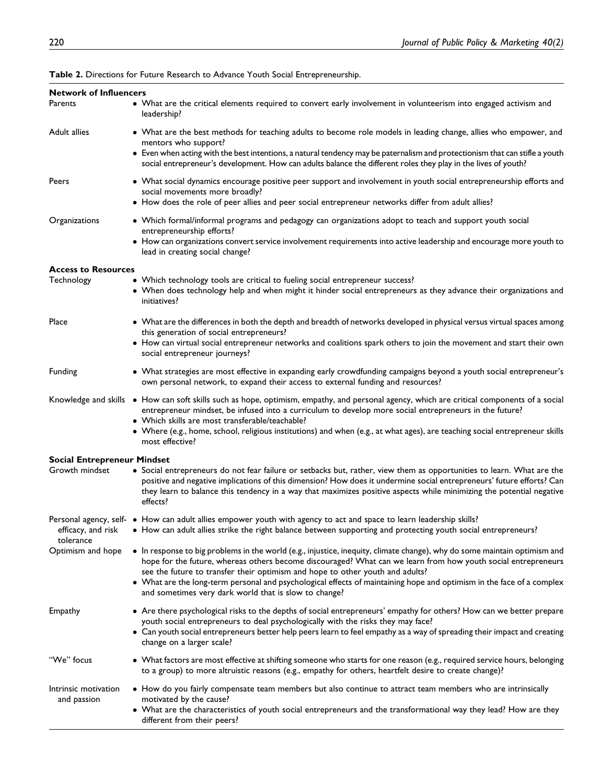| <b>Table 2.</b> Directions for Future Research to Advance Youth Social Entrepreneurship. |  |
|------------------------------------------------------------------------------------------|--|
|------------------------------------------------------------------------------------------|--|

| <b>Network of Influencers</b>                        |                                                                                                                                                                                                                                                                                                                                                                                                                                                                                                               |
|------------------------------------------------------|---------------------------------------------------------------------------------------------------------------------------------------------------------------------------------------------------------------------------------------------------------------------------------------------------------------------------------------------------------------------------------------------------------------------------------------------------------------------------------------------------------------|
| Parents                                              | • What are the critical elements required to convert early involvement in volunteerism into engaged activism and<br>leadership?                                                                                                                                                                                                                                                                                                                                                                               |
| Adult allies                                         | • What are the best methods for teaching adults to become role models in leading change, allies who empower, and<br>mentors who support?<br>• Even when acting with the best intentions, a natural tendency may be paternalism and protectionism that can stifle a youth<br>social entrepreneur's development. How can adults balance the different roles they play in the lives of youth?                                                                                                                    |
| Peers                                                | • What social dynamics encourage positive peer support and involvement in youth social entrepreneurship efforts and<br>social movements more broadly?<br>• How does the role of peer allies and peer social entrepreneur networks differ from adult allies?                                                                                                                                                                                                                                                   |
| Organizations                                        | • Which formal/informal programs and pedagogy can organizations adopt to teach and support youth social<br>entrepreneurship efforts?<br>• How can organizations convert service involvement requirements into active leadership and encourage more youth to<br>lead in creating social change?                                                                                                                                                                                                                |
| <b>Access to Resources</b>                           |                                                                                                                                                                                                                                                                                                                                                                                                                                                                                                               |
| Technology                                           | • Which technology tools are critical to fueling social entrepreneur success?<br>• When does technology help and when might it hinder social entrepreneurs as they advance their organizations and<br>initiatives?                                                                                                                                                                                                                                                                                            |
| Place                                                | • What are the differences in both the depth and breadth of networks developed in physical versus virtual spaces among<br>this generation of social entrepreneurs?<br>• How can virtual social entrepreneur networks and coalitions spark others to join the movement and start their own                                                                                                                                                                                                                     |
|                                                      | social entrepreneur journeys?                                                                                                                                                                                                                                                                                                                                                                                                                                                                                 |
| Funding                                              | • What strategies are most effective in expanding early crowdfunding campaigns beyond a youth social entrepreneur's<br>own personal network, to expand their access to external funding and resources?                                                                                                                                                                                                                                                                                                        |
|                                                      | Knowledge and skills • How can soft skills such as hope, optimism, empathy, and personal agency, which are critical components of a social<br>entrepreneur mindset, be infused into a curriculum to develop more social entrepreneurs in the future?<br>• Which skills are most transferable/teachable?<br>• Where (e.g., home, school, religious institutions) and when (e.g., at what ages), are teaching social entrepreneur skills<br>most effective?                                                     |
|                                                      |                                                                                                                                                                                                                                                                                                                                                                                                                                                                                                               |
| <b>Social Entrepreneur Mindset</b><br>Growth mindset | • Social entrepreneurs do not fear failure or setbacks but, rather, view them as opportunities to learn. What are the<br>positive and negative implications of this dimension? How does it undermine social entrepreneurs' future efforts? Can<br>they learn to balance this tendency in a way that maximizes positive aspects while minimizing the potential negative<br>effects?                                                                                                                            |
| efficacy, and risk<br>tolerance                      | Personal agency, self- • How can adult allies empower youth with agency to act and space to learn leadership skills?<br>• How can adult allies strike the right balance between supporting and protecting youth social entrepreneurs?                                                                                                                                                                                                                                                                         |
| Optimism and hope                                    | • In response to big problems in the world (e.g., injustice, inequity, climate change), why do some maintain optimism and<br>hope for the future, whereas others become discouraged? What can we learn from how youth social entrepreneurs<br>see the future to transfer their optimism and hope to other youth and adults?<br>• What are the long-term personal and psychological effects of maintaining hope and optimism in the face of a complex<br>and sometimes very dark world that is slow to change? |
| Empathy                                              | • Are there psychological risks to the depths of social entrepreneurs' empathy for others? How can we better prepare<br>youth social entrepreneurs to deal psychologically with the risks they may face?<br>• Can youth social entrepreneurs better help peers learn to feel empathy as a way of spreading their impact and creating<br>change on a larger scale?                                                                                                                                             |
| "We" focus                                           | • What factors are most effective at shifting someone who starts for one reason (e.g., required service hours, belonging<br>to a group) to more altruistic reasons (e.g., empathy for others, heartfelt desire to create change)?                                                                                                                                                                                                                                                                             |
| Intrinsic motivation<br>and passion                  | • How do you fairly compensate team members but also continue to attract team members who are intrinsically<br>motivated by the cause?<br>• What are the characteristics of youth social entrepreneurs and the transformational way they lead? How are they<br>different from their peers?                                                                                                                                                                                                                    |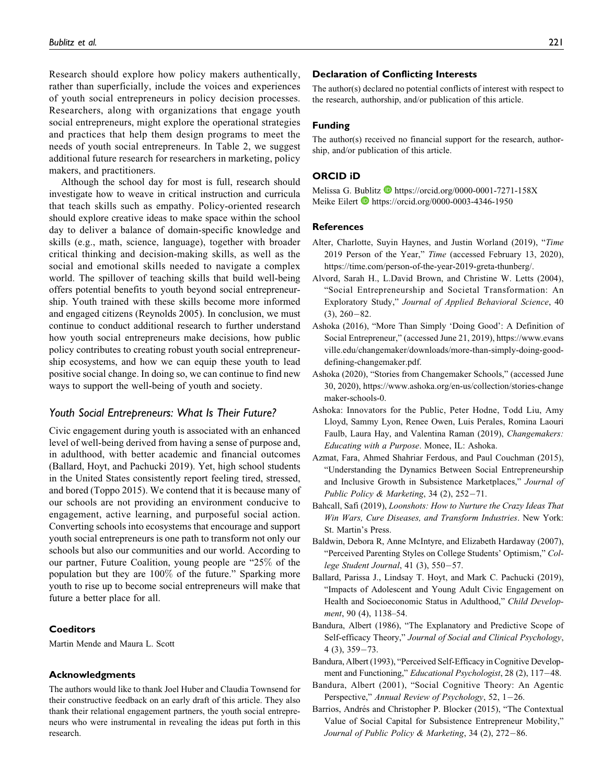Research should explore how policy makers authentically, rather than superficially, include the voices and experiences of youth social entrepreneurs in policy decision processes. Researchers, along with organizations that engage youth social entrepreneurs, might explore the operational strategies and practices that help them design programs to meet the needs of youth social entrepreneurs. In Table 2, we suggest additional future research for researchers in marketing, policy makers, and practitioners.

Although the school day for most is full, research should investigate how to weave in critical instruction and curricula that teach skills such as empathy. Policy-oriented research should explore creative ideas to make space within the school day to deliver a balance of domain-specific knowledge and skills (e.g., math, science, language), together with broader critical thinking and decision-making skills, as well as the social and emotional skills needed to navigate a complex world. The spillover of teaching skills that build well-being offers potential benefits to youth beyond social entrepreneurship. Youth trained with these skills become more informed and engaged citizens (Reynolds 2005). In conclusion, we must continue to conduct additional research to further understand how youth social entrepreneurs make decisions, how public policy contributes to creating robust youth social entrepreneurship ecosystems, and how we can equip these youth to lead positive social change. In doing so, we can continue to find new ways to support the well-being of youth and society.

### *Youth Social Entrepreneurs: What Is Their Future?*

Civic engagement during youth is associated with an enhanced level of well-being derived from having a sense of purpose and, in adulthood, with better academic and financial outcomes (Ballard, Hoyt, and Pachucki 2019). Yet, high school students in the United States consistently report feeling tired, stressed, and bored (Toppo 2015). We contend that it is because many of our schools are not providing an environment conducive to engagement, active learning, and purposeful social action. Converting schools into ecosystems that encourage and support youth social entrepreneurs is one path to transform not only our schools but also our communities and our world. According to our partner, Future Coalition, young people are "25% of the population but they are 100% of the future." Sparking more youth to rise up to become social entrepreneurs will make that future a better place for all.

#### **Coeditors**

Martin Mende and Maura L. Scott

## **Acknowledgments**

The authors would like to thank Joel Huber and Claudia Townsend for their constructive feedback on an early draft of this article. They also thank their relational engagement partners, the youth social entrepreneurs who were instrumental in revealing the ideas put forth in this research.

#### **Declaration of Conflicting Interests**

The author(s) declared no potential conflicts of interest with respect to the research, authorship, and/or publication of this article.

#### **Funding**

The author(s) received no financial support for the research, authorship, and/or publication of this article.

#### **ORCID iD**

Melissa G. Bublitz  $\bullet$  <https://orcid.org/0000-0001-7271-158X> Meike Eilert D<https://orcid.org/0000-0003-4346-1950>

#### **References**

- Alter, Charlotte, Suyin Haynes, and Justin Worland (2019), "Time 2019 Person of the Year," Time (accessed February 13, 2020), [https://time.com/person-of-the-year-2019-greta-thunberg/.](https://time.com/person-of-the-year-2019-greta-thunberg/)
- Alvord, Sarah H., L.David Brown, and Christine W. Letts (2004), "Social Entrepreneurship and Societal Transformation: An Exploratory Study," Journal of Applied Behavioral Science, 40  $(3), 260 - 82.$
- Ashoka (2016), "More Than Simply 'Doing Good': A Definition of Social Entrepreneur," (accessed June 21, 2019), [https://www.evans](https://www.evansville.edu/changemaker/downloads/more-than-simply-doing-good-defining-changemaker.pdf) [ville.edu/changemaker/downloads/more-than-simply-doing-good](https://www.evansville.edu/changemaker/downloads/more-than-simply-doing-good-defining-changemaker.pdf)[defining-changemaker.pdf](https://www.evansville.edu/changemaker/downloads/more-than-simply-doing-good-defining-changemaker.pdf).
- Ashoka (2020), "Stories from Changemaker Schools," (accessed June 30, 2020), [https://www.ashoka.org/en-us/collection/stories-change](https://www.ashoka.org/en-us/collection/stories-changemaker-schools-0) [maker-schools-0.](https://www.ashoka.org/en-us/collection/stories-changemaker-schools-0)
- Ashoka: Innovators for the Public, Peter Hodne, Todd Liu, Amy Lloyd, Sammy Lyon, Renee Owen, Luis Perales, Romina Laouri Faulb, Laura Hay, and Valentina Raman (2019), Changemakers: Educating with a Purpose. Monee, IL: Ashoka.
- Azmat, Fara, Ahmed Shahriar Ferdous, and Paul Couchman (2015), "Understanding the Dynamics Between Social Entrepreneurship and Inclusive Growth in Subsistence Marketplaces," Journal of Public Policy & Marketing, 34  $(2)$ , 252-71.
- Bahcall, Safi (2019), Loonshots: How to Nurture the Crazy Ideas That Win Wars, Cure Diseases, and Transform Industries. New York: St. Martin's Press.
- Baldwin, Debora R, Anne McIntyre, and Elizabeth Hardaway (2007), "Perceived Parenting Styles on College Students' Optimism," College Student Journal,  $41$  (3),  $550-57$ .
- Ballard, Parissa J., Lindsay T. Hoyt, and Mark C. Pachucki (2019), "Impacts of Adolescent and Young Adult Civic Engagement on Health and Socioeconomic Status in Adulthood," Child Development, 90 (4), 1138–54.
- Bandura, Albert (1986), "The Explanatory and Predictive Scope of Self-efficacy Theory," Journal of Social and Clinical Psychology,  $4(3), 359 - 73.$
- Bandura, Albert (1993), "Perceived Self-Efficacy in Cognitive Development and Functioning," Educational Psychologist, 28 (2), 117-48.
- Bandura, Albert (2001), "Social Cognitive Theory: An Agentic Perspective," Annual Review of Psychology, 52, 1-26.
- Barrios, Andrés and Christopher P. Blocker (2015), "The Contextual Value of Social Capital for Subsistence Entrepreneur Mobility," Journal of Public Policy & Marketing, 34 (2),  $272-86$ .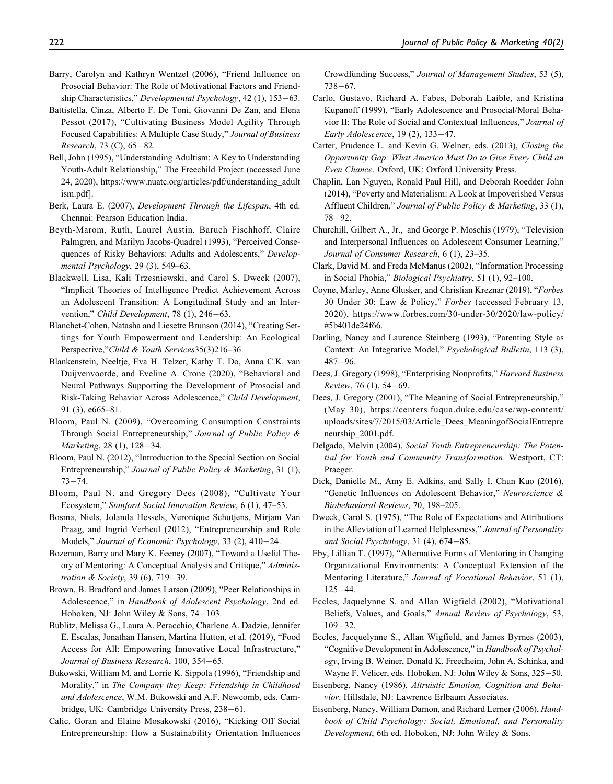- Barry, Carolyn and Kathryn Wentzel (2006), "Friend Influence on Prosocial Behavior: The Role of Motivational Factors and Friendship Characteristics," Developmental Psychology, 42 (1), 153–63.
- Battistella, Cinza, Alberto F. De Toni, Giovanni De Zan, and Elena Pessot (2017), "Cultivating Business Model Agility Through Focused Capabilities: A Multiple Case Study," Journal of Business Research, 73 (C),  $65-82$ .
- Bell, John (1995), "Understanding Adultism: A Key to Understanding Youth-Adult Relationship," The Freechild Project (accessed June 24, 2020), [https://www.nuatc.org/articles/pdf/understanding\\_adult](https://www.nuatc.org/articles/pdf/understanding_adultism.pdf) [ism.pdf](https://www.nuatc.org/articles/pdf/understanding_adultism.pdf)].
- Berk, Laura E. (2007), Development Through the Lifespan, 4th ed. Chennai: Pearson Education India.
- Beyth-Marom, Ruth, Laurel Austin, Baruch Fischhoff, Claire Palmgren, and Marilyn Jacobs-Quadrel (1993), "Perceived Consequences of Risky Behaviors: Adults and Adolescents," Developmental Psychology, 29 (3), 549–63.
- Blackwell, Lisa, Kali Trzesniewski, and Carol S. Dweck (2007), "Implicit Theories of Intelligence Predict Achievement Across an Adolescent Transition: A Longitudinal Study and an Intervention," Child Development,  $78$  (1),  $246-63$ .
- Blanchet-Cohen, Natasha and Liesette Brunson (2014), "Creating Settings for Youth Empowerment and Leadership: An Ecological Perspective,"Child & Youth Services35(3)216–36.
- Blankenstein, Neeltje, Eva H. Telzer, Kathy T. Do, Anna C.K. van Duijvenvoorde, and Eveline A. Crone (2020), "Behavioral and Neural Pathways Supporting the Development of Prosocial and Risk-Taking Behavior Across Adolescence," Child Development, 91 (3), e665–81.
- Bloom, Paul N. (2009), "Overcoming Consumption Constraints Through Social Entrepreneurship," Journal of Public Policy & Marketing, 28 (1), 128-34.
- Bloom, Paul N. (2012), "Introduction to the Special Section on Social Entrepreneurship," Journal of Public Policy & Marketing, 31 (1),  $73 - 74.$
- Bloom, Paul N. and Gregory Dees (2008), "Cultivate Your Ecosystem," Stanford Social Innovation Review, 6 (1), 47–53.
- Bosma, Niels, Jolanda Hessels, Veronique Schutjens, Mirjam Van Praag, and Ingrid Verheul (2012), "Entrepreneurship and Role Models," Journal of Economic Psychology, 33 (2), 410-24.
- Bozeman, Barry and Mary K. Feeney (2007), "Toward a Useful Theory of Mentoring: A Conceptual Analysis and Critique," Administration & Society, 39 (6),  $719-39$ .
- Brown, B. Bradford and James Larson (2009), "Peer Relationships in Adolescence," in Handbook of Adolescent Psychology, 2nd ed. Hoboken, NJ: John Wiley & Sons, 74-103.
- Bublitz, Melissa G., Laura A. Peracchio, Charlene A. Dadzie, Jennifer E. Escalas, Jonathan Hansen, Martina Hutton, et al. (2019), "Food Access for All: Empowering Innovative Local Infrastructure," Journal of Business Research, 100, 354-65.
- Bukowski, William M. and Lorrie K. Sippola (1996), "Friendship and Morality," in The Company they Keep: Friendship in Childhood and Adolescence, W.M. Bukowski and A.F. Newcomb, eds. Cambridge, UK: Cambridge University Press, 238-61.
- Calic, Goran and Elaine Mosakowski (2016), "Kicking Off Social Entrepreneurship: How a Sustainability Orientation Influences

Crowdfunding Success," Journal of Management Studies, 53 (5),  $738 - 67.$ 

- Carlo, Gustavo, Richard A. Fabes, Deborah Laible, and Kristina Kupanoff (1999), "Early Adolescence and Prosocial/Moral Behavior II: The Role of Social and Contextual Influences," Journal of Early Adolescence, 19 (2), 133-47.
- Carter, Prudence L. and Kevin G. Welner, eds. (2013), Closing the Opportunity Gap: What America Must Do to Give Every Child an Even Chance. Oxford, UK: Oxford University Press.
- Chaplin, Lan Nguyen, Ronald Paul Hill, and Deborah Roedder John (2014), "Poverty and Materialism: A Look at Impoverished Versus Affluent Children," Journal of Public Policy & Marketing, 33 (1),  $78 - 92.$
- Churchill, Gilbert A., Jr., and George P. Moschis (1979), "Television and Interpersonal Influences on Adolescent Consumer Learning," Journal of Consumer Research, 6 (1), 23–35.
- Clark, David M. and Freda McManus (2002), "Information Processing in Social Phobia," Biological Psychiatry, 51 (1), 92–100.
- Coyne, Marley, Anne Glusker, and Christian Kreznar (2019), "Forbes 30 Under 30: Law & Policy," Forbes (accessed February 13, 2020), [https://www.forbes.com/30-under-30/2020/law-policy/](https://www.forbes.com/30-under-30/2020/law-policy/#5b401de24f66) [#5b401de24f66](https://www.forbes.com/30-under-30/2020/law-policy/#5b401de24f66).
- Darling, Nancy and Laurence Steinberg (1993), "Parenting Style as Context: An Integrative Model," Psychological Bulletin, 113 (3),  $487 - 96.$
- Dees, J. Gregory (1998), "Enterprising Nonprofits," Harvard Business Review, 76 (1), 54–69.
- Dees, J. Gregory (2001), "The Meaning of Social Entrepreneurship," (May 30), [https://centers.fuqua.duke.edu/case/wp-content/](https://centers.fuqua.duke.edu/case/wp-content/uploads/sites/7/2015/03/Article_Dees_MeaningofSocialEntrepreneurship_2001.pdf) [uploads/sites/7/2015/03/Article\\_Dees\\_MeaningofSocialEntrepre](https://centers.fuqua.duke.edu/case/wp-content/uploads/sites/7/2015/03/Article_Dees_MeaningofSocialEntrepreneurship_2001.pdf) [neurship\\_2001.pdf](https://centers.fuqua.duke.edu/case/wp-content/uploads/sites/7/2015/03/Article_Dees_MeaningofSocialEntrepreneurship_2001.pdf).
- Delgado, Melvin (2004), Social Youth Entrepreneurship: The Potential for Youth and Community Transformation. Westport, CT: Praeger.
- Dick, Danielle M., Amy E. Adkins, and Sally I. Chun Kuo (2016), "Genetic Influences on Adolescent Behavior," Neuroscience & Biobehavioral Reviews, 70, 198–205.
- Dweck, Carol S. (1975), "The Role of Expectations and Attributions in the Alleviation of Learned Helplessness," Journal of Personality and Social Psychology, 31 (4),  $674-85$ .
- Eby, Lillian T. (1997), "Alternative Forms of Mentoring in Changing Organizational Environments: A Conceptual Extension of the Mentoring Literature," Journal of Vocational Behavior, 51 (1),  $125 - 44.$
- Eccles, Jaquelynne S. and Allan Wigfield (2002), "Motivational Beliefs, Values, and Goals," Annual Review of Psychology, 53,  $109 - 32$ .
- Eccles, Jacquelynne S., Allan Wigfield, and James Byrnes (2003), "Cognitive Development in Adolescence," in Handbook of Psychology, Irving B. Weiner, Donald K. Freedheim, John A. Schinka, and Wayne F. Velicer, eds. Hoboken, NJ: John Wiley & Sons, 325-50.
- Eisenberg, Nancy (1986), Altruistic Emotion, Cognition and Behavior. Hillsdale, NJ: Lawrence Erlbaum Associates.
- Eisenberg, Nancy, William Damon, and Richard Lerner (2006), Handbook of Child Psychology: Social, Emotional, and Personality Development, 6th ed. Hoboken, NJ: John Wiley & Sons.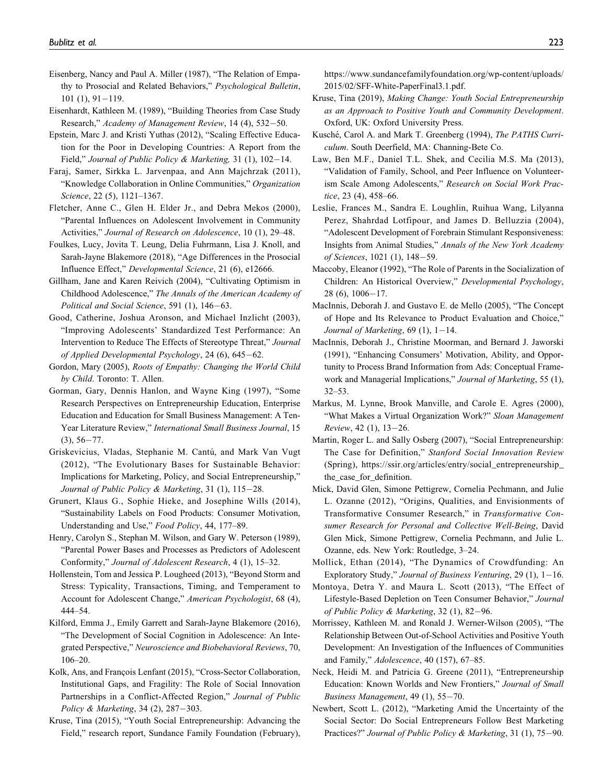- Eisenberg, Nancy and Paul A. Miller (1987), "The Relation of Empathy to Prosocial and Related Behaviors," Psychological Bulletin,  $101$  (1),  $91 - 119$ .
- Eisenhardt, Kathleen M. (1989), "Building Theories from Case Study Research," Academy of Management Review, 14 (4), 532-50.
- Epstein, Marc J. and Kristi Yuthas (2012), "Scaling Effective Education for the Poor in Developing Countries: A Report from the Field," Journal of Public Policy & Marketing, 31 (1), 102-14.
- Faraj, Samer, Sirkka L. Jarvenpaa, and Ann Majchrzak (2011), "Knowledge Collaboration in Online Communities," Organization Science, 22 (5), 1121–1367.
- Fletcher, Anne C., Glen H. Elder Jr., and Debra Mekos (2000), "Parental Influences on Adolescent Involvement in Community Activities," Journal of Research on Adolescence, 10 (1), 29–48.
- Foulkes, Lucy, Jovita T. Leung, Delia Fuhrmann, Lisa J. Knoll, and Sarah-Jayne Blakemore (2018), "Age Differences in the Prosocial Influence Effect," Developmental Science, 21 (6), e12666.
- Gillham, Jane and Karen Reivich (2004), "Cultivating Optimism in Childhood Adolescence," The Annals of the American Academy of Political and Social Science, 591 (1),  $146-63$ .
- Good, Catherine, Joshua Aronson, and Michael Inzlicht (2003), "Improving Adolescents' Standardized Test Performance: An Intervention to Reduce The Effects of Stereotype Threat," Journal of Applied Developmental Psychology, 24  $(6)$ , 645-62.
- Gordon, Mary (2005), Roots of Empathy: Changing the World Child by Child. Toronto: T. Allen.
- Gorman, Gary, Dennis Hanlon, and Wayne King (1997), "Some Research Perspectives on Entrepreneurship Education, Enterprise Education and Education for Small Business Management: A Ten-Year Literature Review," International Small Business Journal, 15  $(3), 56-77.$
- Griskevicius, Vladas, Stephanie M. Cantú, and Mark Van Vugt (2012), "The Evolutionary Bases for Sustainable Behavior: Implications for Marketing, Policy, and Social Entrepreneurship," Journal of Public Policy & Marketing,  $31$  (1),  $115-28$ .
- Grunert, Klaus G., Sophie Hieke, and Josephine Wills (2014), "Sustainability Labels on Food Products: Consumer Motivation, Understanding and Use," Food Policy, 44, 177–89.
- Henry, Carolyn S., Stephan M. Wilson, and Gary W. Peterson (1989), "Parental Power Bases and Processes as Predictors of Adolescent Conformity," Journal of Adolescent Research, 4 (1), 15–32.
- Hollenstein, Tom and Jessica P. Lougheed (2013), "Beyond Storm and Stress: Typicality, Transactions, Timing, and Temperament to Account for Adolescent Change," American Psychologist, 68 (4), 444–54.
- Kilford, Emma J., Emily Garrett and Sarah-Jayne Blakemore (2016), "The Development of Social Cognition in Adolescence: An Integrated Perspective," Neuroscience and Biobehavioral Reviews, 70, 106–20.
- Kolk, Ans, and François Lenfant (2015), "Cross-Sector Collaboration, Institutional Gaps, and Fragility: The Role of Social Innovation Partnerships in a Conflict-Affected Region," Journal of Public Policy & Marketing, 34 (2), 287-303.
- Kruse, Tina (2015), "Youth Social Entrepreneurship: Advancing the Field," research report, Sundance Family Foundation (February),

[https://www.sundancefamilyfoundation.org/wp-content/uploads/](https://www.sundancefamilyfoundation.org/wp-content/uploads/2015/02/SFF-White-PaperFinal3.1.pdf) [2015/02/SFF-White-PaperFinal3.1.pdf](https://www.sundancefamilyfoundation.org/wp-content/uploads/2015/02/SFF-White-PaperFinal3.1.pdf).

- Kruse, Tina (2019), Making Change: Youth Social Entrepreneurship as an Approach to Positive Youth and Community Development. Oxford, UK: Oxford University Press.
- Kusché, Carol A. and Mark T. Greenberg (1994), The PATHS Curriculum. South Deerfield, MA: Channing-Bete Co.
- Law, Ben M.F., Daniel T.L. Shek, and Cecilia M.S. Ma (2013), "Validation of Family, School, and Peer Influence on Volunteerism Scale Among Adolescents," Research on Social Work Practice, 23 (4), 458–66.
- Leslie, Frances M., Sandra E. Loughlin, Ruihua Wang, Lilyanna Perez, Shahrdad Lotfipour, and James D. Belluzzia (2004), "Adolescent Development of Forebrain Stimulant Responsiveness: Insights from Animal Studies," Annals of the New York Academy of Sciences, 1021 (1), 148-59.
- Maccoby, Eleanor (1992), "The Role of Parents in the Socialization of Children: An Historical Overview," Developmental Psychology,  $28(6)$ ,  $1006-17$ .
- MacInnis, Deborah J. and Gustavo E. de Mello (2005), "The Concept of Hope and Its Relevance to Product Evaluation and Choice," Journal of Marketing,  $69$  (1),  $1-14$ .
- MacInnis, Deborah J., Christine Moorman, and Bernard J. Jaworski (1991), "Enhancing Consumers' Motivation, Ability, and Opportunity to Process Brand Information from Ads: Conceptual Framework and Managerial Implications," Journal of Marketing, 55 (1), 32–53.
- Markus, M. Lynne, Brook Manville, and Carole E. Agres (2000), "What Makes a Virtual Organization Work?" Sloan Management Review, 42 (1), 13-26.
- Martin, Roger L. and Sally Osberg (2007), "Social Entrepreneurship: The Case for Definition," Stanford Social Innovation Review (Spring), [https://ssir.org/articles/entry/social\\_entrepreneurship\\_](https://ssir.org/articles/entry/social_entrepreneurship_the_case_for_definition) [the\\_case\\_for\\_definition](https://ssir.org/articles/entry/social_entrepreneurship_the_case_for_definition).
- Mick, David Glen, Simone Pettigrew, Cornelia Pechmann, and Julie L. Ozanne (2012), "Origins, Qualities, and Envisionments of Transformative Consumer Research," in Transformative Consumer Research for Personal and Collective Well-Being, David Glen Mick, Simone Pettigrew, Cornelia Pechmann, and Julie L. Ozanne, eds. New York: Routledge, 3–24.
- Mollick, Ethan (2014), "The Dynamics of Crowdfunding: An Exploratory Study," Journal of Business Venturing, 29 (1),  $1-16$ .
- Montoya, Detra Y. and Maura L. Scott (2013), "The Effect of Lifestyle-Based Depletion on Teen Consumer Behavior," Journal of Public Policy & Marketing,  $32$  (1),  $82-96$ .
- Morrissey, Kathleen M. and Ronald J. Werner-Wilson (2005), "The Relationship Between Out-of-School Activities and Positive Youth Development: An Investigation of the Influences of Communities and Family," Adolescence, 40 (157), 67–85.
- Neck, Heidi M. and Patricia G. Greene (2011), "Entrepreneurship Education: Known Worlds and New Frontiers," Journal of Small Business Management,  $49(1)$ ,  $55-70$ .
- Newbert, Scott L. (2012), "Marketing Amid the Uncertainty of the Social Sector: Do Social Entrepreneurs Follow Best Marketing Practices?" Journal of Public Policy & Marketing, 31 (1), 75-90.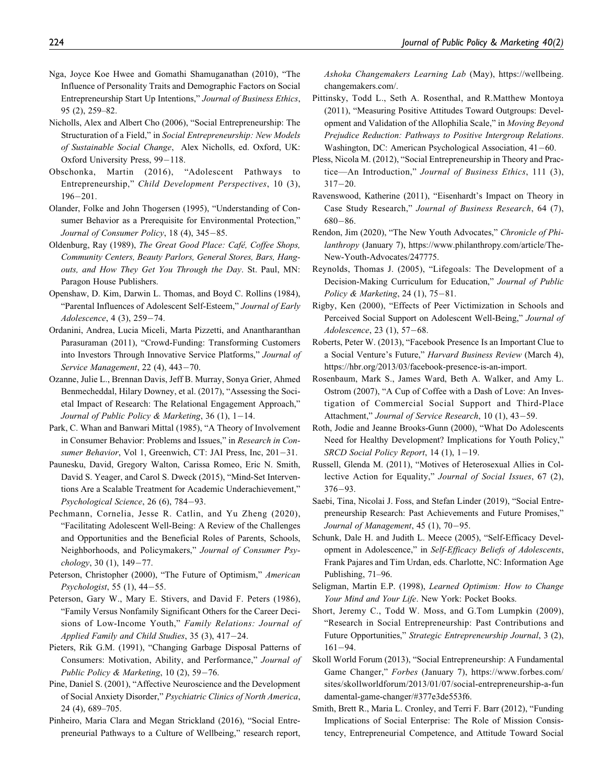- Nga, Joyce Koe Hwee and Gomathi Shamuganathan (2010), "The Influence of Personality Traits and Demographic Factors on Social Entrepreneurship Start Up Intentions," Journal of Business Ethics, 95 (2), 259–82.
- Nicholls, Alex and Albert Cho (2006), "Social Entrepreneurship: The Structuration of a Field," in Social Entrepreneurship: New Models of Sustainable Social Change, Alex Nicholls, ed. Oxford, UK: Oxford University Press, 99-118.
- Obschonka, Martin (2016), "Adolescent Pathways to Entrepreneurship," Child Development Perspectives, 10 (3), 196-201.
- Olander, Folke and John Thogersen (1995), "Understanding of Consumer Behavior as a Prerequisite for Environmental Protection," Journal of Consumer Policy,  $18(4)$ ,  $345-85$ .
- Oldenburg, Ray (1989), The Great Good Place: Café, Coffee Shops, Community Centers, Beauty Parlors, General Stores, Bars, Hangouts, and How They Get You Through the Day. St. Paul, MN: Paragon House Publishers.
- Openshaw, D. Kim, Darwin L. Thomas, and Boyd C. Rollins (1984), "Parental Influences of Adolescent Self-Esteem," Journal of Early Adolescence, 4 (3), 259-74.
- Ordanini, Andrea, Lucia Miceli, Marta Pizzetti, and Anantharanthan Parasuraman (2011), "Crowd-Funding: Transforming Customers into Investors Through Innovative Service Platforms," Journal of Service Management, 22 (4), 443-70.
- Ozanne, Julie L., Brennan Davis, Jeff B. Murray, Sonya Grier, Ahmed Benmecheddal, Hilary Downey, et al. (2017), "Assessing the Societal Impact of Research: The Relational Engagement Approach," Journal of Public Policy & Marketing, 36 (1),  $1-14$ .
- Park, C. Whan and Banwari Mittal (1985), "A Theory of Involvement in Consumer Behavior: Problems and Issues," in Research in Consumer Behavior, Vol 1, Greenwich, CT: JAI Press, Inc, 201-31.
- Paunesku, David, Gregory Walton, Carissa Romeo, Eric N. Smith, David S. Yeager, and Carol S. Dweck (2015), "Mind-Set Interventions Are a Scalable Treatment for Academic Underachievement," Psychological Science,  $26(6)$ ,  $784-93$ .
- Pechmann, Cornelia, Jesse R. Catlin, and Yu Zheng (2020), "Facilitating Adolescent Well-Being: A Review of the Challenges and Opportunities and the Beneficial Roles of Parents, Schools, Neighborhoods, and Policymakers," Journal of Consumer Psy $chology, 30 (1), 149-77.$
- Peterson, Christopher (2000), "The Future of Optimism," American  $Psychologist, 55 (1), 44–55.$
- Peterson, Gary W., Mary E. Stivers, and David F. Peters (1986), "Family Versus Nonfamily Significant Others for the Career Decisions of Low-Income Youth," Family Relations: Journal of Applied Family and Child Studies,  $35(3)$ ,  $417-24$ .
- Pieters, Rik G.M. (1991), "Changing Garbage Disposal Patterns of Consumers: Motivation, Ability, and Performance," Journal of Public Policy & Marketing, 10  $(2)$ , 59-76.
- Pine, Daniel S. (2001), "Affective Neuroscience and the Development of Social Anxiety Disorder," Psychiatric Clinics of North America, 24 (4), 689–705.
- Pinheiro, Maria Clara and Megan Strickland (2016), "Social Entrepreneurial Pathways to a Culture of Wellbeing," research report,

Ashoka Changemakers Learning Lab (May), [https://wellbeing.](https://wellbeing.changemakers.com/) [changemakers.com/.](https://wellbeing.changemakers.com/)

- Pittinsky, Todd L., Seth A. Rosenthal, and R.Matthew Montoya (2011), "Measuring Positive Attitudes Toward Outgroups: Development and Validation of the Allophilia Scale," in Moving Beyond Prejudice Reduction: Pathways to Positive Intergroup Relations. Washington, DC: American Psychological Association, 41-60.
- Pless, Nicola M. (2012), "Social Entrepreneurship in Theory and Practice—An Introduction," Journal of Business Ethics, 111 (3),  $317 - 20.$
- Ravenswood, Katherine (2011), "Eisenhardt's Impact on Theory in Case Study Research," Journal of Business Research, 64 (7),  $680 - 86.$
- Rendon, Jim (2020), "The New Youth Advocates," Chronicle of Philanthropy (January 7), [https://www.philanthropy.com/article/The-](https://www.philanthropy.com/article/The-New-Youth-Advocates/247775)[New-Youth-Advocates/247775.](https://www.philanthropy.com/article/The-New-Youth-Advocates/247775)
- Reynolds, Thomas J. (2005), "Lifegoals: The Development of a Decision-Making Curriculum for Education," Journal of Public Policy & Marketing, 24 (1),  $75-81$ .
- Rigby, Ken (2000), "Effects of Peer Victimization in Schools and Perceived Social Support on Adolescent Well-Being," Journal of Adolescence, 23 (1), 57-68.
- Roberts, Peter W. (2013), "Facebook Presence Is an Important Clue to a Social Venture's Future," Harvard Business Review (March 4), <https://hbr.org/2013/03/facebook-presence-is-an-import>.
- Rosenbaum, Mark S., James Ward, Beth A. Walker, and Amy L. Ostrom (2007), "A Cup of Coffee with a Dash of Love: An Investigation of Commercial Social Support and Third-Place Attachment," Journal of Service Research, 10 (1), 43-59.
- Roth, Jodie and Jeanne Brooks-Gunn (2000), "What Do Adolescents Need for Healthy Development? Implications for Youth Policy," SRCD Social Policy Report, 14  $(1)$ , 1-19.
- Russell, Glenda M. (2011), "Motives of Heterosexual Allies in Collective Action for Equality," Journal of Social Issues, 67 (2),  $376 - 93$ .
- Saebi, Tina, Nicolai J. Foss, and Stefan Linder (2019), "Social Entrepreneurship Research: Past Achievements and Future Promises," Journal of Management,  $45$  (1),  $70-95$ .
- Schunk, Dale H. and Judith L. Meece (2005), "Self-Efficacy Development in Adolescence," in Self-Efficacy Beliefs of Adolescents, Frank Pajares and Tim Urdan, eds. Charlotte, NC: Information Age Publishing, 71–96.
- Seligman, Martin E.P. (1998), Learned Optimism: How to Change Your Mind and Your Life. New York: Pocket Books.
- Short, Jeremy C., Todd W. Moss, and G.Tom Lumpkin (2009), "Research in Social Entrepreneurship: Past Contributions and Future Opportunities," Strategic Entrepreneurship Journal, 3 (2),  $161 - 94.$
- Skoll World Forum (2013), "Social Entrepreneurship: A Fundamental Game Changer," Forbes (January 7), [https://www.forbes.com/](https://www.forbes.com/sites/skollworldforum/2013/01/07/social-entrepreneurship-a-fundamental-game-changer/#377e3de553f6) [sites/skollworldforum/2013/01/07/social-entrepreneurship-a-fun](https://www.forbes.com/sites/skollworldforum/2013/01/07/social-entrepreneurship-a-fundamental-game-changer/#377e3de553f6) [damental-game-changer/#377e3de553f6](https://www.forbes.com/sites/skollworldforum/2013/01/07/social-entrepreneurship-a-fundamental-game-changer/#377e3de553f6).
- Smith, Brett R., Maria L. Cronley, and Terri F. Barr (2012), "Funding Implications of Social Enterprise: The Role of Mission Consistency, Entrepreneurial Competence, and Attitude Toward Social